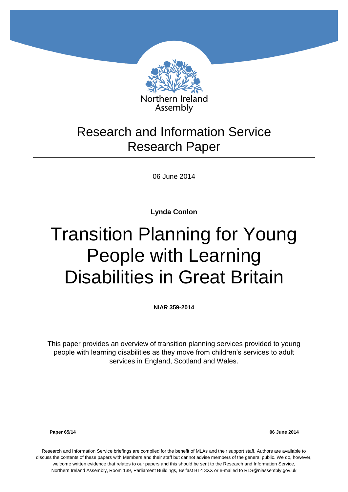

# Research and Information Service Research Paper

06 June 2014

**Lynda Conlon**

# Transition Planning for Young People with Learning Disabilities in Great Britain

**NIAR 359-2014**

This paper provides an overview of transition planning services provided to young people with learning disabilities as they move from children's services to adult services in England, Scotland and Wales.

**Paper 65/14 06 June 2014**

Research and Information Service briefings are compiled for the benefit of MLAs and their support staff. Authors are available to discuss the contents of these papers with Members and their staff but cannot advise members of the general public. We do, however, welcome written evidence that relates to our papers and this should be sent to the Research and Information Service, Northern Ireland Assembly, Room 139, Parliament Buildings, Belfast BT4 3XX or e-mailed to RLS@niassembly.gov.uk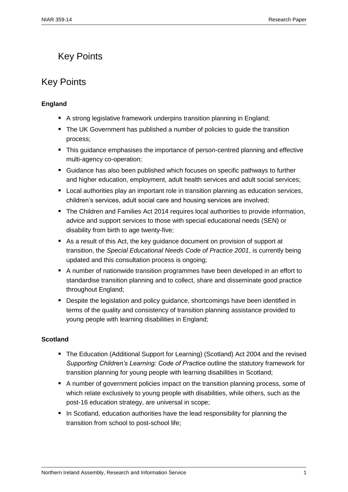# <span id="page-2-0"></span>Key Points

# Key Points

#### **England**

- A strong legislative framework underpins transition planning in England;
- The UK Government has published a number of policies to guide the transition process;
- This guidance emphasises the importance of person-centred planning and effective multi-agency co-operation;
- Guidance has also been published which focuses on specific pathways to further and higher education, employment, adult health services and adult social services;
- **EXTER** Local authorities play an important role in transition planning as education services, children's services, adult social care and housing services are involved;
- The Children and Families Act 2014 requires local authorities to provide information, advice and support services to those with special educational needs (SEN) or disability from birth to age twenty-five;
- As a result of this Act, the key guidance document on provision of support at transition, the *Special Educational Needs Code of Practice 2001*, is currently being updated and this consultation process is ongoing;
- A number of nationwide transition programmes have been developed in an effort to standardise transition planning and to collect, share and disseminate good practice throughout England;
- **Despite the legislation and policy guidance, shortcomings have been identified in** terms of the quality and consistency of transition planning assistance provided to young people with learning disabilities in England;

#### **Scotland**

- The Education (Additional Support for Learning) (Scotland) Act 2004 and the revised *Supporting Children's Learning: Code of Practice* outline the statutory framework for transition planning for young people with learning disabilities in Scotland;
- A number of government policies impact on the transition planning process, some of which relate exclusively to young people with disabilities, while others, such as the post-16 education strategy, are universal in scope;
- In Scotland, education authorities have the lead responsibility for planning the transition from school to post-school life;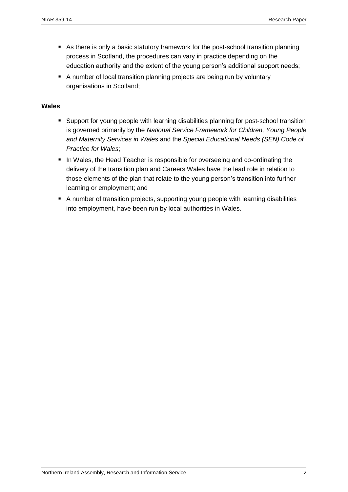- As there is only a basic statutory framework for the post-school transition planning process in Scotland, the procedures can vary in practice depending on the education authority and the extent of the young person's additional support needs;
- A number of local transition planning projects are being run by voluntary organisations in Scotland;

#### **Wales**

- Support for young people with learning disabilities planning for post-school transition is governed primarily by the *National Service Framework for Children, Young People and Maternity Services in Wales* and the *Special Educational Needs (SEN) Code of Practice for Wales*;
- In Wales, the Head Teacher is responsible for overseeing and co-ordinating the delivery of the transition plan and Careers Wales have the lead role in relation to those elements of the plan that relate to the young person's transition into further learning or employment; and
- A number of transition projects, supporting young people with learning disabilities into employment, have been run by local authorities in Wales.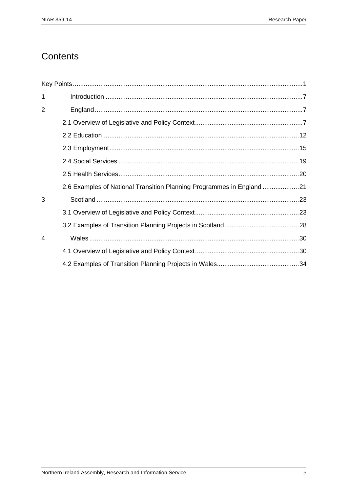# Contents

| $\mathbf{1}$   |                                                                       |  |
|----------------|-----------------------------------------------------------------------|--|
| $\overline{2}$ |                                                                       |  |
|                |                                                                       |  |
|                |                                                                       |  |
|                |                                                                       |  |
|                |                                                                       |  |
|                |                                                                       |  |
|                | 2.6 Examples of National Transition Planning Programmes in England 21 |  |
| 3              |                                                                       |  |
|                |                                                                       |  |
|                |                                                                       |  |
| 4              |                                                                       |  |
|                |                                                                       |  |
|                |                                                                       |  |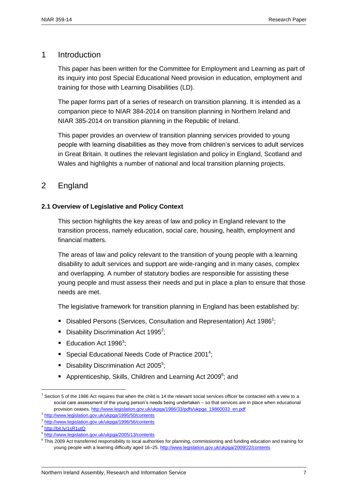#### <span id="page-8-0"></span>1 Introduction

This paper has been written for the Committee for Employment and Learning as part of its inquiry into post Special Educational Need provision in education, employment and training for those with Learning Disabilities (LD).

The paper forms part of a series of research on transition planning. It is intended as a companion piece to NIAR 384-2014 on transition planning in Northern Ireland and NIAR 385-2014 on transition planning in the Republic of Ireland.

This paper provides an overview of transition planning services provided to young people with learning disabilities as they move from children's services to adult services in Great Britain. It outlines the relevant legislation and policy in England, Scotland and Wales and highlights a number of national and local transition planning projects.

# <span id="page-8-2"></span><span id="page-8-1"></span>2 England

#### **2.1 Overview of Legislative and Policy Context**

This section highlights the key areas of law and policy in England relevant to the transition process, namely education, social care, housing, health, employment and financial matters.

The areas of law and policy relevant to the transition of young people with a learning disability to adult services and support are wide-ranging and in many cases, complex and overlapping. A number of statutory bodies are responsible for assisting these young people and must assess their needs and put in place a plan to ensure that those needs are met.

The legislative framework for transition planning in England has been established by:

- **Disabled Persons (Services, Consultation and Representation) Act 1986<sup>1</sup>;**
- Disability Discrimination Act 1995<sup>2</sup>;
- Education Act 1996<sup>3</sup>;
- Special Educational Needs Code of Practice 2001<sup>4</sup>;
- Disability Discrimination Act 2005<sup>5</sup>;
- Apprenticeship, Skills, Children and Learning Act 2009<sup>6</sup>; and

 $1$  Section 5 of the 1986 Act requires that when the child is 14 the relevant social services officer be contacted with a view to a social care assessment of the young person's needs being undertaken – so that services are in place when educational provision ceases[. http://www.legislation.gov.uk/ukpga/1986/33/pdfs/ukpga\\_19860033\\_en.pdf](http://www.legislation.gov.uk/ukpga/1986/33/pdfs/ukpga_19860033_en.pdf)

<sup>&</sup>lt;sup>2</sup> <http://www.legislation.gov.uk/ukpga/1995/50/contents>

<sup>&</sup>lt;sup>3</sup> <http://www.legislation.gov.uk/ukpga/1996/56/contents>

<sup>4</sup> <http://bit.ly/1sR1utQ>

<sup>&</sup>lt;sup>5</sup> <http://www.legislation.gov.uk/ukpga/2005/13/contents>

<sup>&</sup>lt;sup>6</sup> This 2009 Act transferred responsibility to local authorities for planning, commissioning and funding education and training for young people with a learning difficulty aged 16–25.<http://www.legislation.gov.uk/ukpga/2009/22/contents>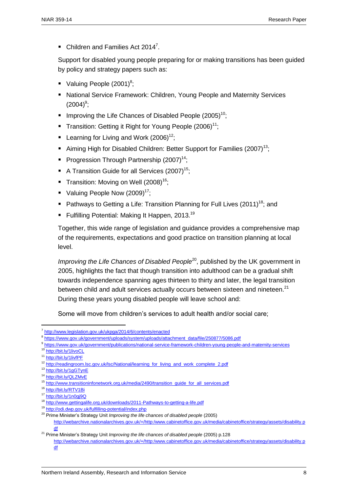$\blacksquare$  Children and Families Act 2014<sup>7</sup>.

Support for disabled young people preparing for or making transitions has been guided by policy and strategy papers such as:

- Valuing People  $(2001)^8$ ;
- National Service Framework: Children, Young People and Maternity Services  $(2004)^9;$
- Improving the Life Chances of Disabled People  $(2005)^{10}$ ;
- Transition: Getting it Right for Young People  $(2006)^{11}$ ;
- **Learning for Living and Work (2006)**<sup>12</sup>:
- Aiming High for Disabled Children: Better Support for Families (2007)<sup>13</sup>;
- Progression Through Partnership  $(2007)^{14}$ ;
- A Transition Guide for all Services  $(2007)^{15}$ .
- Transition: Moving on Well  $(2008)^{16}$ :
- Valuing People Now  $(2009)^{17}$ ;
- Pathways to Getting a Life: Transition Planning for Full Lives  $(2011)^{18}$ ; and
- Fulfilling Potential: Making It Happen, 2013.<sup>19</sup>

Together, this wide range of legislation and guidance provides a comprehensive map of the requirements, expectations and good practice on transition planning at local level.

*Improving the Life Chances of Disabled People*<sup>20</sup>, published by the UK government in 2005, highlights the fact that though transition into adulthood can be a gradual shift towards independence spanning ages thirteen to thirty and later, the legal transition between child and adult services actually occurs between sixteen and nineteen.<sup>21</sup> During these years young disabled people will leave school and:

Some will move from children's services to adult health and/or social care;

<sup>&</sup>lt;sup>7</sup> <http://www.legislation.gov.uk/ukpga/2014/6/contents/enacted>

<sup>&</sup>lt;sup>8</sup> [https://www.gov.uk/government/uploads/system/uploads/attachment\\_data/file/250877/5086.pdf](https://www.gov.uk/government/uploads/system/uploads/attachment_data/file/250877/5086.pdf)

<sup>9</sup> <https://www.gov.uk/government/publications/national-service-framework-children-young-people-and-maternity-services>

<sup>10</sup> <http://bit.ly/1livoCL>

<sup>11</sup> <http://bit.ly/1livfPF>

<sup>&</sup>lt;sup>12</sup> [http://readingroom.lsc.gov.uk/lsc/National/learning\\_for\\_living\\_and\\_work\\_complete\\_2.pdf](http://readingroom.lsc.gov.uk/lsc/National/learning_for_living_and_work_complete_2.pdf)

<sup>13</sup> <http://bit.ly/1gGTynE>

<sup>14</sup> <http://bit.ly/QLZMvE>

<sup>15</sup> [http://www.transitioninfonetwork.org.uk/media/2490/transition\\_guide\\_for\\_all\\_services.pdf](http://www.transitioninfonetwork.org.uk/media/2490/transition_guide_for_all_services.pdf)

<sup>16</sup> <http://bit.ly/RTV1Bi>

<sup>17</sup> <http://bit.ly/1n0gj9Q>

<sup>18</sup> <http://www.gettingalife.org.uk/downloads/2011-Pathways-to-getting-a-life.pdf>

<sup>19</sup> <http://odi.dwp.gov.uk/fulfilling-potential/index.php>

<sup>20</sup> Prime Minister's Strategy Unit *Improving the life chances of disabled people* (2005) [http://webarchive.nationalarchives.gov.uk/+/http:/www.cabinetoffice.gov.uk/media/cabinetoffice/strategy/assets/disability.p](http://webarchive.nationalarchives.gov.uk/+/http:/www.cabinetoffice.gov.uk/media/cabinetoffice/strategy/assets/disability.pdf) [df](http://webarchive.nationalarchives.gov.uk/+/http:/www.cabinetoffice.gov.uk/media/cabinetoffice/strategy/assets/disability.pdf)

<sup>&</sup>lt;sup>21</sup> Prime Minister's Strategy Unit *Improving the life chances of disabled people* (2005) p.128 [http://webarchive.nationalarchives.gov.uk/+/http:/www.cabinetoffice.gov.uk/media/cabinetoffice/strategy/assets/disability.p](http://webarchive.nationalarchives.gov.uk/+/http:/www.cabinetoffice.gov.uk/media/cabinetoffice/strategy/assets/disability.pdf) [df](http://webarchive.nationalarchives.gov.uk/+/http:/www.cabinetoffice.gov.uk/media/cabinetoffice/strategy/assets/disability.pdf)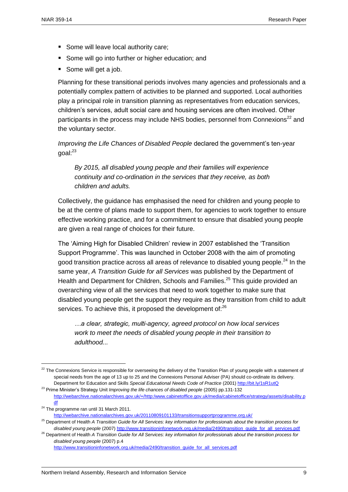- Some will leave local authority care;
- Some will go into further or higher education; and
- Some will get a job.

Planning for these transitional periods involves many agencies and professionals and a potentially complex pattern of activities to be planned and supported. Local authorities play a principal role in transition planning as representatives from education services, children's services, adult social care and housing services are often involved. Other participants in the process may include NHS bodies, personnel from Connexions<sup>22</sup> and the voluntary sector.

*Improving the Life Chances of Disabled People* declared the government's ten-year goal:<sup>23</sup>

*By 2015, all disabled young people and their families will experience continuity and co-ordination in the services that they receive, as both children and adults.* 

Collectively, the guidance has emphasised the need for children and young people to be at the centre of plans made to support them, for agencies to work together to ensure effective working practice, and for a commitment to ensure that disabled young people are given a real range of choices for their future.

The 'Aiming High for Disabled Children' review in 2007 established the 'Transition Support Programme'. This was launched in October 2008 with the aim of promoting good transition practice across all areas of relevance to disabled young people.<sup>24</sup> In the same year, *A Transition Guide for all Services* was published by the Department of Health and Department for Children, Schools and Families.<sup>25</sup> This guide provided an overarching view of all the services that need to work together to make sure that disabled young people get the support they require as they transition from child to adult services. To achieve this, it proposed the development of:<sup>26</sup>

*…a clear, strategic, multi-agency, agreed protocol on how local services work to meet the needs of disabled young people in their transition to adulthood...*

<sup>&</sup>lt;sup>22</sup> The Connexions Service is responsible for overseeing the delivery of the Transition Plan of young people with a statement of special needs from the age of 13 up to 25 and the Connexions Personal Adviser (PA) should co-ordinate its delivery. Department for Education and Skills *Special Educational Needs Code of Practice* (2001[\) http://bit.ly/1sR1utQ](http://bit.ly/1sR1utQ)

<sup>23</sup> Prime Minister's Strategy Unit *Improving the life chances of disabled people* (2005) pp.131-132 [http://webarchive.nationalarchives.gov.uk/+/http:/www.cabinetoffice.gov.uk/media/cabinetoffice/strategy/assets/disability.p](http://webarchive.nationalarchives.gov.uk/+/http:/www.cabinetoffice.gov.uk/media/cabinetoffice/strategy/assets/disability.pdf) [df](http://webarchive.nationalarchives.gov.uk/+/http:/www.cabinetoffice.gov.uk/media/cabinetoffice/strategy/assets/disability.pdf)

 $24$  The programme ran until 31 March 2011. <http://webarchive.nationalarchives.gov.uk/20110809101133/transitionsupportprogramme.org.uk/>

<sup>25</sup> Department of Health *A Transition Guide for All Services: key information for professionals about the transition process for* 

*disabled young people* (2007) [http://www.transitioninfonetwork.org.uk/media/2490/transition\\_guide\\_for\\_all\\_services.pdf](http://www.transitioninfonetwork.org.uk/media/2490/transition_guide_for_all_services.pdf)

<sup>26</sup> Department of Health *A Transition Guide for All Services: key information for professionals about the transition process for disabled young people* (2007) p.4

[http://www.transitioninfonetwork.org.uk/media/2490/transition\\_guide\\_for\\_all\\_services.pdf](http://www.transitioninfonetwork.org.uk/media/2490/transition_guide_for_all_services.pdf)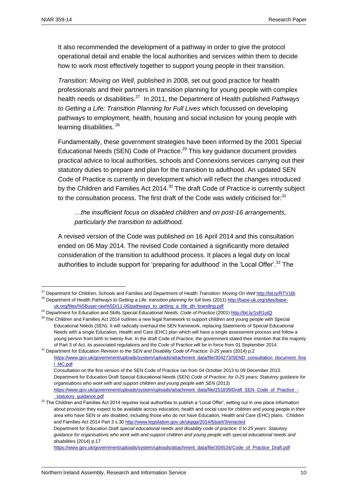It also recommended the development of a pathway in order to give the protocol operational detail and enable the local authorities and services within them to decide how to work most effectively together to support young people in their transition.

*Transition: Moving on Well*, published in 2008, set out good practice for health professionals and their partners in transition planning for young people with complex health needs or disabilities.<sup>27</sup> In 2011, the Department of Health published Pathways *to Getting a Life: Transition Planning for Full Lives* which focussed on developing pathways to employment, health, housing and social inclusion for young people with learning disabilities.<sup>28</sup>

Fundamentally, these government strategies have been informed by the 2001 Special Educational Needs (SEN) Code of Practice.<sup>29</sup> This key guidance document provides practical advice to local authorities, schools and Connexions services carrying out their statutory duties to prepare and plan for the transition to adulthood. An updated SEN Code of Practice is currently in development which will reflect the changes introduced by the Children and Families Act 2014.<sup>30</sup> The draft Code of Practice is currently subject to the consultation process. The first draft of the Code was widely criticised for: $31$ 

*…the insufficient focus on disabled children and on post-16 arrangements, particularly the transition to adulthood.*

A revised version of the Code was published on 16 April 2014 and this consultation ended on 06 May 2014. The revised Code contained a significantly more detailed consideration of the transition to adulthood process. It places a legal duty on local authorities to include support for 'preparing for adulthood' in the 'Local Offer'.<sup>32</sup> The

<sup>27</sup> Department for Children, Schools and Families and Department of Health *Transition: Moving On Well* <http://bit.ly/RTV1Bi> <sup>28</sup> Department of Health Pathways to Getting a Life: transition planning for full lives (2011[\) http://base-uk.org/sites/base](http://base-uk.org/sites/base-uk.org/files/%5Buser-raw%5D/11-06/pathways_to_getting_a_life_dh_branding.pdf)[uk.org/files/%5Buser-raw%5D/11-06/pathways\\_to\\_getting\\_a\\_life\\_dh\\_branding.pdf](http://base-uk.org/sites/base-uk.org/files/%5Buser-raw%5D/11-06/pathways_to_getting_a_life_dh_branding.pdf)

<sup>&</sup>lt;sup>29</sup> Department for Education and Skills *Special Educational Needs: Code of Practice* (2001[\) http://bit.ly/1sR1utQ](http://bit.ly/1sR1utQ)

<sup>&</sup>lt;sup>30</sup> The Children and Families Act 2014 outlines a new legal framework to support children and young people with Special Educational Needs (SEN). It will radically overhaul the SEN framework, replacing Statements of Special Educational Needs with a single Education, Health and Care (EHC) plan which will have a single assessment process and follow a young person from birth to twenty-five. In the draft Code of Practice, the government stated their intention that the majority of Part 3 of Act, its associated regulations and the Code of Practice will be in force from 01 September 2014.

<sup>31</sup> Department for Education *Revision to the SEN and Disability Code of Practice: 0-25 years* (2014) p.2 [https://www.gov.uk/government/uploads/system/uploads/attachment\\_data/file/304273/SEND\\_consultation\\_document\\_fina](https://www.gov.uk/government/uploads/system/uploads/attachment_data/file/304273/SEND_consultation_document_final_MC.pdf) [l\\_MC.pdf](https://www.gov.uk/government/uploads/system/uploads/attachment_data/file/304273/SEND_consultation_document_final_MC.pdf)

Consultation on the first version of the SEN Code of Practice ran from 04 October 2013 to 09 December 2013. Department for Education Draft Special Educational Needs (SEN) *Code of Practice: for 0-25 years: Statutory guidance for organisations who work with and support children and young people with SEN* (2013) [https://www.gov.uk/government/uploads/system/uploads/attachment\\_data/file/251839/Draft\\_SEN\\_Code\\_of\\_Practice\\_](https://www.gov.uk/government/uploads/system/uploads/attachment_data/file/251839/Draft_SEN_Code_of_Practice_-_statutory_guidance.pdf) statutory quidance.pdf

<sup>&</sup>lt;sup>32</sup> The Children and Families Act 2014 requires local authorities to publish a 'Local Offer', setting out in one place information about provision they expect to be available across education, health and social care for children and young people in their area who have SEN or are disabled, including those who do not have Education, Health and Care (EHC) plans. Children and Families Act 2014 Part 3 s.3[0 http://www.legislation.gov.uk/ukpga/2014/6/part/3/enacted](http://www.legislation.gov.uk/ukpga/2014/6/part/3/enacted) Department for Education *Draft special educational needs and disability code of practice: 0 to 25 years: Statutory guidance for organisations who work with and support children and young people with special educational needs and disabilities* (2014) p.17 [https://www.gov.uk/government/uploads/system/uploads/attachment\\_data/file/304534/Code\\_of\\_Practice\\_Draft.pdf](https://www.gov.uk/government/uploads/system/uploads/attachment_data/file/304534/Code_of_Practice_Draft.pdf)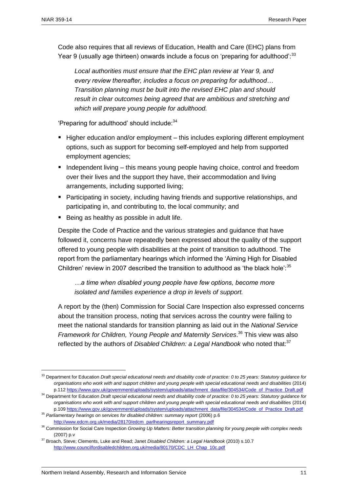Code also requires that all reviews of Education, Health and Care (EHC) plans from Year 9 (usually age thirteen) onwards include a focus on 'preparing for adulthood':<sup>33</sup>

*Local authorities must ensure that the EHC plan review at Year 9, and every review thereafter, includes a focus on preparing for adulthood… Transition planning must be built into the revised EHC plan and should result in clear outcomes being agreed that are ambitious and stretching and which will prepare young people for adulthood.*

'Preparing for adulthood' should include: 34

- $\blacksquare$  Higher education and/or employment this includes exploring different employment options, such as support for becoming self-employed and help from supported employment agencies;
- Independent living  $-$  this means young people having choice, control and freedom over their lives and the support they have, their accommodation and living arrangements, including supported living;
- Participating in society, including having friends and supportive relationships, and participating in, and contributing to, the local community; and
- Being as healthy as possible in adult life.

Despite the Code of Practice and the various strategies and guidance that have followed it, concerns have repeatedly been expressed about the quality of the support offered to young people with disabilities at the point of transition to adulthood. The report from the parliamentary hearings which informed the 'Aiming High for Disabled Children' review in 2007 described the transition to adulthood as 'the black hole': $35$ 

*…a time when disabled young people have few options, become more isolated and families experience a drop in levels of support.*

A report by the (then) Commission for Social Care Inspection also expressed concerns about the transition process, noting that services across the country were failing to meet the national standards for transition planning as laid out in the *National Service Framework for Children, Young People and Maternity Services*. <sup>36</sup> This view was also reflected by the authors of *Disabled Children: a Legal Handbook* who noted that:<sup>37</sup>

<sup>33</sup> Department for Education *Draft special educational needs and disability code of practice: 0 to 25 years: Statutory guidance for organisations who work with and support children and young people with special educational needs and disabilities* (2014) p.11[2 https://www.gov.uk/government/uploads/system/uploads/attachment\\_data/file/304534/Code\\_of\\_Practice\\_Draft.pdf](https://www.gov.uk/government/uploads/system/uploads/attachment_data/file/304534/Code_of_Practice_Draft.pdf)

<sup>34</sup> Department for Education *Draft special educational needs and disability code of practice: 0 to 25 years: Statutory guidance for organisations who work with and support children and young people with special educational needs and disabilities* (2014) p.10[9 https://www.gov.uk/government/uploads/system/uploads/attachment\\_data/file/304534/Code\\_of\\_Practice\\_Draft.pdf](https://www.gov.uk/government/uploads/system/uploads/attachment_data/file/304534/Code_of_Practice_Draft.pdf)

<sup>&</sup>lt;sup>35</sup> Parliamentary hearings on services for disabled children: summary report (2006) p.6 [http://www.edcm.org.uk/media/28170/edcm\\_parlhearingsreport\\_summary.pdf](http://www.edcm.org.uk/media/28170/edcm_parlhearingsreport_summary.pdf)

<sup>36</sup> Commission for Social Care Inspection *Growing Up Matters: Better transition planning for young people with complex needs* (2007) p.v

<sup>37</sup> Broach, Steve; Clements, Luke and Read; Janet *Disabled Children: a Legal Handbook* (2010) s.10.7 [http://www.councilfordisabledchildren.org.uk/media/80170/CDC\\_LH\\_Chap\\_10c.pdf](http://www.councilfordisabledchildren.org.uk/media/80170/CDC_LH_Chap_10c.pdf)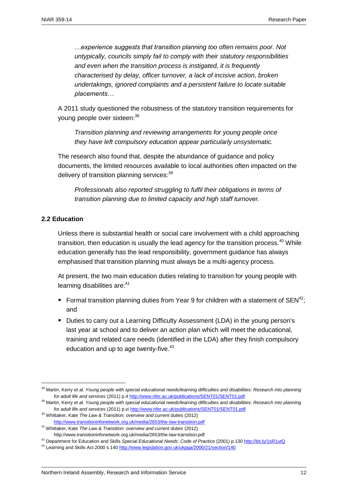*…experience suggests that transition planning too often remains poor. Not untypically, councils simply fail to comply with their statutory responsibilities and even when the transition process is instigated, it is frequently characterised by delay, officer turnover, a lack of incisive action, broken undertakings, ignored complaints and a persistent failure to locate suitable placements…*

A 2011 study questioned the robustness of the statutory transition requirements for young people over sixteen:<sup>38</sup>

*Transition planning and reviewing arrangements for young people once they have left compulsory education appear particularly unsystematic.*

The research also found that, despite the abundance of guidance and policy documents, the limited resources available to local authorities often impacted on the delivery of transition planning services:<sup>39</sup>

*Professionals also reported struggling to fulfil their obligations in terms of transition planning due to limited capacity and high staff turnover.*

#### <span id="page-13-0"></span>**2.2 Education**

 $\overline{a}$ 

Unless there is substantial health or social care involvement with a child approaching transition, then education is usually the lead agency for the transition process. $40$  While education generally has the lead responsibility, government guidance has always emphasised that transition planning must always be a multi-agency process.

At present, the two main education duties relating to transition for young people with learning disabilities are:<sup>41</sup>

- Formal transition planning duties from Year 9 for children with a statement of  $SEN^{42}$ : and
- Duties to carry out a Learning Difficulty Assessment (LDA) in the young person's last year at school and to deliver an action plan which will meet the educational, training and related care needs (identified in the LDA) after they finish compulsory education and up to age twenty-five.<sup>43</sup>

<sup>38</sup> Martin, Kerry *et al. Young people with special educational needs/learning difficulties and disabilities: Research into planning for adult life and services* (2011) p.[4 http://www.nfer.ac.uk/publications/SENT01/SENT01.pdf](http://www.nfer.ac.uk/publications/SENT01/SENT01.pdf)

<sup>&</sup>lt;sup>39</sup> Martin, Kerry *et al. Young people with special educational needs/learning difficulties and disabilities: Research into planning for adult life and services* (2011) p.vi<http://www.nfer.ac.uk/publications/SENT01/SENT01.pdf>

<sup>40</sup> Whittaker, Kate *The Law & Transition: overview and current duties* (2012) <http://www.transitioninfonetwork.org.uk/media/2653/the-law-transition.pdf>

<sup>41</sup> Whittaker, Kate *The Law & Transition: overview and current duties* (2012) http://www.transitioninfonetwork.org.uk/media/2653/the-law-transition.pdf

<sup>42</sup> Department for Education and Skills *Special Educational Needs: Code of Practice* (2001) p.13[0 http://bit.ly/1sR1utQ](http://bit.ly/1sR1utQ)

<sup>&</sup>lt;sup>43</sup> Learning and Skills Act 2000 s.140<http://www.legislation.gov.uk/ukpga/2000/21/section/140>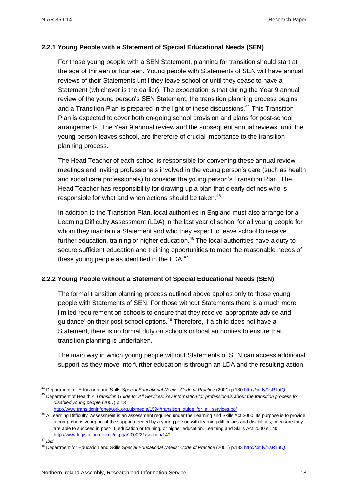#### **2.2.1 Young People with a Statement of Special Educational Needs (SEN)**

For those young people with a SEN Statement, planning for transition should start at the age of thirteen or fourteen. Young people with Statements of SEN will have annual reviews of their Statements until they leave school or until they cease to have a Statement (whichever is the earlier). The expectation is that during the Year 9 annual review of the young person's SEN Statement, the transition planning process begins and a Transition Plan is prepared in the light of these discussions.<sup>44</sup> This Transition Plan is expected to cover both on-going school provision and plans for post-school arrangements. The Year 9 annual review and the subsequent annual reviews, until the young person leaves school, are therefore of crucial importance to the transition planning process.

The Head Teacher of each school is responsible for convening these annual review meetings and inviting professionals involved in the young person's care (such as health and social care professionals) to consider the young person's Transition Plan. The Head Teacher has responsibility for drawing up a plan that clearly defines who is responsible for what and when actions should be taken.<sup>45</sup>

In addition to the Transition Plan, local authorities in England must also arrange for a Learning Difficulty Assessment (LDA) in the last year of school for all young people for whom they maintain a Statement and who they expect to leave school to receive further education, training or higher education. $46$  The local authorities have a duty to secure sufficient education and training opportunities to meet the reasonable needs of these young people as identified in the  $LDA.<sup>47</sup>$ 

#### **2.2.2 Young People without a Statement of Special Educational Needs (SEN)**

The formal transition planning process outlined above applies only to those young people with Statements of SEN. For those without Statements there is a much more limited requirement on schools to ensure that they receive 'appropriate advice and guidance' on their post-school options.<sup>48</sup> Therefore, if a child does not have a Statement, there is no formal duty on schools or local authorities to ensure that transition planning is undertaken.

The main way in which young people without Statements of SEN can access additional support as they move into further education is through an LDA and the resulting action

<sup>&</sup>lt;sup>44</sup> Department for Education and Skills *Special Educational Needs: Code of Practice* (2001) p.13[0 http://bit.ly/1sR1utQ](http://bit.ly/1sR1utQ)

<sup>45</sup> Department of Health *A Transition Guide for All Services: key information for professionals about the transition process for disabled young people* (2007) p.13

[http://www.transitioninfonetwork.org.uk/media/1594/transition\\_guide\\_for\\_all\\_services.pdf](http://www.transitioninfonetwork.org.uk/media/1594/transition_guide_for_all_services.pdf)

<sup>&</sup>lt;sup>46</sup> A Learning Difficulty Assessment is an assessment required under the Learning and Skills Act 2000. Its purpose is to provide a comprehensive report of the support needed by a young person with learning difficulties and disabilities, to ensure they are able to succeed in post-16 education or training, or higher education. Learning and Skills Act 2000 s.140 <http://www.legislation.gov.uk/ukpga/2000/21/section/140>

<sup>47</sup> *Ibid.* 

<sup>48</sup> Department for Education and Skills *Special Educational Needs: Code of Practice* (2001) p.13[3 http://bit.ly/1sR1utQ](http://bit.ly/1sR1utQ)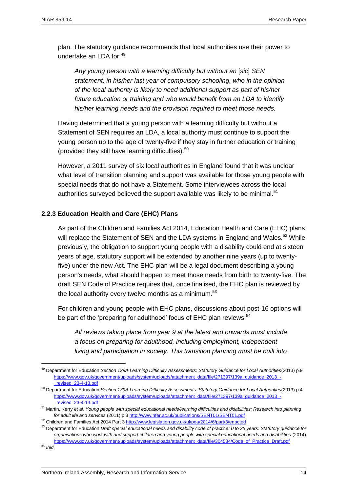plan. The statutory guidance recommends that local authorities use their power to undertake an LDA for:<sup>49</sup>

Any young person with a learning difficulty but without an [sic] SEN *statement, in his/her last year of compulsory schooling, who in the opinion of the local authority is likely to need additional support as part of his/her future education or training and who would benefit from an LDA to identify his/her learning needs and the provision required to meet those needs.*

Having determined that a young person with a learning difficulty but without a Statement of SEN requires an LDA, a local authority must continue to support the young person up to the age of twenty-five if they stay in further education or training (provided they still have learning difficulties). $50$ 

However, a 2011 survey of six local authorities in England found that it was unclear what level of transition planning and support was available for those young people with special needs that do not have a Statement. Some interviewees across the local authorities surveyed believed the support available was likely to be minimal.<sup>51</sup>

#### **2.2.3 Education Health and Care (EHC) Plans**

As part of the Children and Families Act 2014, Education Health and Care (EHC) plans will replace the Statement of SEN and the LDA systems in England and Wales.<sup>52</sup> While previously, the obligation to support young people with a disability could end at sixteen years of age, statutory support will be extended by another nine years (up to twentyfive) under the new Act. The EHC plan will be a legal document describing a young person's needs, what should happen to meet those needs from birth to twenty-five. The draft SEN Code of Practice requires that, once finalised, the EHC plan is reviewed by the local authority every twelve months as a minimum. $53$ 

For children and young people with EHC plans, discussions about post-16 options will be part of the 'preparing for adulthood' focus of EHC plan reviews:<sup>54</sup>

*All reviews taking place from year 9 at the latest and onwards must include a focus on preparing for adulthood, including employment, independent living and participation in society. This transition planning must be built into* 

<sup>49</sup> Department for Education *Section 139A Learning Difficulty Assessments: Statutory Guidance for Local Authorities*(2013) p.9 [https://www.gov.uk/government/uploads/system/uploads/attachment\\_data/file/271397/139a\\_guidance\\_2013\\_-](https://www.gov.uk/government/uploads/system/uploads/attachment_data/file/271397/139a_guidance_2013_-_revised_23-4-13.pdf) [\\_revised\\_23-4-13.pdf](https://www.gov.uk/government/uploads/system/uploads/attachment_data/file/271397/139a_guidance_2013_-_revised_23-4-13.pdf)

<sup>50</sup> Department for Education *Section 139A Learning Difficulty Assessments: Statutory Guidance for Local Authorities*(2013) p.4 [https://www.gov.uk/government/uploads/system/uploads/attachment\\_data/file/271397/139a\\_guidance\\_2013\\_-](https://www.gov.uk/government/uploads/system/uploads/attachment_data/file/271397/139a_guidance_2013_-_revised_23-4-13.pdf) [\\_revised\\_23-4-13.pdf](https://www.gov.uk/government/uploads/system/uploads/attachment_data/file/271397/139a_guidance_2013_-_revised_23-4-13.pdf)

<sup>51</sup> Martin, Kerry *et al. Young people with special educational needs/learning difficulties and disabilities: Research into planning for adult life and services* (2011) p.[3 http://www.nfer.ac.uk/publications/SENT01/SENT01.pdf](http://www.nfer.ac.uk/publications/SENT01/SENT01.pdf)

<sup>&</sup>lt;sup>52</sup> Children and Families Act 2014 Part 3 http://www.legislation.gov.uk/ukpga/2014/6/part/3/enacted

<sup>53</sup> Department for Education *Draft special educational needs and disability code of practice: 0 to 25 years: Statutory guidance for organisations who work with and support children and young people with special educational needs and disabilities* (2014) [https://www.gov.uk/government/uploads/system/uploads/attachment\\_data/file/304534/Code\\_of\\_Practice\\_Draft.pdf](https://www.gov.uk/government/uploads/system/uploads/attachment_data/file/304534/Code_of_Practice_Draft.pdf)

<sup>54</sup> *Ibid.*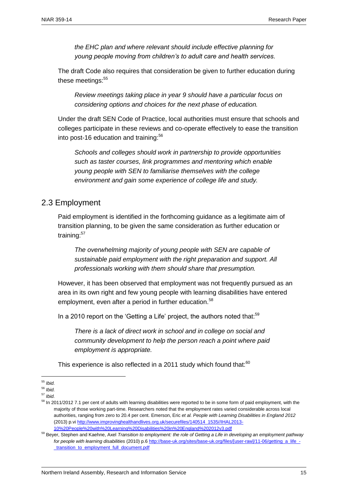*the EHC plan and where relevant should include effective planning for young people moving from children's to adult care and health services.*

The draft Code also requires that consideration be given to further education during these meetings:<sup>55</sup>

*Review meetings taking place in year 9 should have a particular focus on considering options and choices for the next phase of education.*

Under the draft SEN Code of Practice, local authorities must ensure that schools and colleges participate in these reviews and co-operate effectively to ease the transition into post-16 education and training:<sup>56</sup>

*Schools and colleges should work in partnership to provide opportunities such as taster courses, link programmes and mentoring which enable young people with SEN to familiarise themselves with the college environment and gain some experience of college life and study.*

#### <span id="page-16-0"></span>2.3 Employment

Paid employment is identified in the forthcoming guidance as a legitimate aim of transition planning, to be given the same consideration as further education or training:<sup>57</sup>

*The overwhelming majority of young people with SEN are capable of sustainable paid employment with the right preparation and support. All professionals working with them should share that presumption.*

However, it has been observed that employment was not frequently pursued as an area in its own right and few young people with learning disabilities have entered employment, even after a period in further education.<sup>58</sup>

In a 2010 report on the 'Getting a Life' project, the authors noted that:<sup>59</sup>

*There is a lack of direct work in school and in college on social and community development to help the person reach a point where paid employment is appropriate.*

This experience is also reflected in a 2011 study which found that: $60$ 

 $\overline{a}$ <sup>55</sup> *Ibid.*

<sup>56</sup> *Ibid.*

<sup>57</sup> *Ibid.*

<sup>&</sup>lt;sup>58</sup> In 2011/2012 7.1 per cent of adults with learning disabilities were reported to be in some form of paid employment, with the majority of those working part-time. Researchers noted that the employment rates varied considerable across local authorities, ranging from zero to 20.4 per cent. Emerson, Eric *et al. People with Learning Disabilities in England 2012*  (2013) p.vi [http://www.improvinghealthandlives.org.uk/securefiles/140514\\_1535//IHAL2013-](http://www.improvinghealthandlives.org.uk/securefiles/140514_1535/IHAL2013-10%20People%20with%20Learning%20Disabilities%20in%20England%202012v3.pdf) [10%20People%20with%20Learning%20Disabilities%20in%20England%202012v3.pdf](http://www.improvinghealthandlives.org.uk/securefiles/140514_1535/IHAL2013-10%20People%20with%20Learning%20Disabilities%20in%20England%202012v3.pdf)

<sup>59</sup> Beyer, Stephen and Kaehne, Axel *Transition to employment: the role of Getting a Life in developing an employment pathway*  for people with learning disabilities (2010) p.6 [http://base-uk.org/sites/base-uk.org/files/\[user-raw\]/11-06/getting\\_a\\_life\\_-](http://base-uk.org/sites/base-uk.org/files/%5buser-raw%5d/11-06/getting_a_life_-_transition_to_employment_full_document.pdf) [\\_transition\\_to\\_employment\\_full\\_document.pdf](http://base-uk.org/sites/base-uk.org/files/%5buser-raw%5d/11-06/getting_a_life_-_transition_to_employment_full_document.pdf)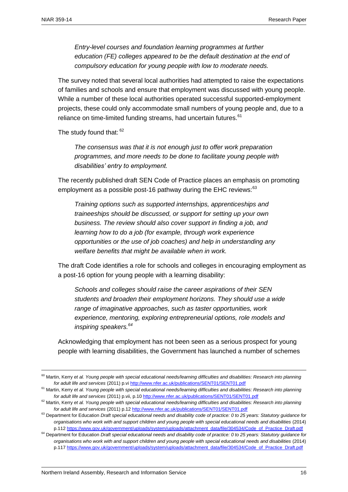*Entry-level courses and foundation learning programmes at further education (FE) colleges appeared to be the default destination at the end of compulsory education for young people with low to moderate needs.* 

The survey noted that several local authorities had attempted to raise the expectations of families and schools and ensure that employment was discussed with young people. While a number of these local authorities operated successful supported-employment projects, these could only accommodate small numbers of young people and, due to a reliance on time-limited funding streams, had uncertain futures.<sup>61</sup>

The study found that:  $62$ 

*The consensus was that it is not enough just to offer work preparation programmes, and more needs to be done to facilitate young people with disabilities' entry to employment.*

The recently published draft SEN Code of Practice places an emphasis on promoting employment as a possible post-16 pathway during the EHC reviews:  $63$ 

*Training options such as supported internships, apprenticeships and traineeships should be discussed, or support for setting up your own business. The review should also cover support in finding a job, and learning how to do a job (for example, through work experience opportunities or the use of job coaches) and help in understanding any welfare benefits that might be available when in work.*

The draft Code identifies a role for schools and colleges in encouraging employment as a post-16 option for young people with a learning disability:

*Schools and colleges should raise the career aspirations of their SEN students and broaden their employment horizons. They should use a wide range of imaginative approaches, such as taster opportunities, work experience, mentoring, exploring entrepreneurial options, role models and inspiring speakers.<sup>64</sup>*

Acknowledging that employment has not been seen as a serious prospect for young people with learning disabilities, the Government has launched a number of schemes

<sup>&</sup>lt;sup>60</sup> Martin, Kerry et al. Young people with special educational needs/learning difficulties and disabilities: Research into planning *for adult life and services* (2011) p.vi<http://www.nfer.ac.uk/publications/SENT01/SENT01.pdf>

<sup>&</sup>lt;sup>61</sup> Martin, Kerry et al. Young people with special educational needs/learning difficulties and disabilities: Research into planning *for adult life and services* (2011) p.vii, p.1[0 http://www.nfer.ac.uk/publications/SENT01/SENT01.pdf](http://www.nfer.ac.uk/publications/SENT01/SENT01.pdf)

<sup>&</sup>lt;sup>62</sup> Martin, Kerry et al. Young people with special educational needs/learning difficulties and disabilities: Research into planning *for adult life and services* (2011) p.12<http://www.nfer.ac.uk/publications/SENT01/SENT01.pdf>

<sup>63</sup> Department for Education *Draft special educational needs and disability code of practice: 0 to 25 years: Statutory guidance for organisations who work with and support children and young people with special educational needs and disabilities* (2014) p.11[2 https://www.gov.uk/government/uploads/system/uploads/attachment\\_data/file/304534/Code\\_of\\_Practice\\_Draft.pdf](https://www.gov.uk/government/uploads/system/uploads/attachment_data/file/304534/Code_of_Practice_Draft.pdf)

<sup>64</sup> Department for Education *Draft special educational needs and disability code of practice: 0 to 25 years: Statutory guidance for organisations who work with and support children and young people with special educational needs and disabilities* (2014) p.11[7 https://www.gov.uk/government/uploads/system/uploads/attachment\\_data/file/304534/Code\\_of\\_Practice\\_Draft.pdf](https://www.gov.uk/government/uploads/system/uploads/attachment_data/file/304534/Code_of_Practice_Draft.pdf)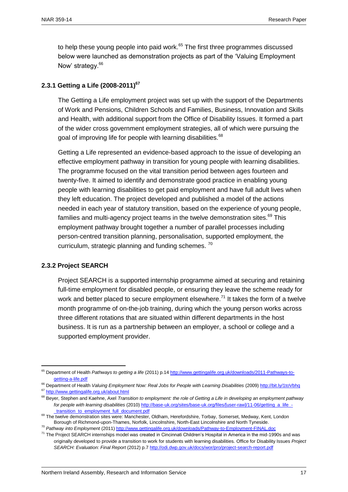to help these young people into paid work.<sup>65</sup> The first three programmes discussed below were launched as demonstration projects as part of the 'Valuing Employment Now' strategy.<sup>66</sup>

#### **2.3.1 Getting a Life (2008-2011)<sup>67</sup>**

The Getting a Life employment project was set up with the support of the Departments of Work and Pensions, Children Schools and Families, Business, Innovation and Skills and Health, with additional support from the Office of Disability Issues. It formed a part of the wider cross government employment strategies, all of which were pursuing the goal of improving life for people with learning disabilities.<sup>68</sup>

Getting a Life represented an evidence-based approach to the issue of developing an effective employment pathway in transition for young people with learning disabilities. The programme focused on the vital transition period between ages fourteen and twenty-five. It aimed to identify and demonstrate good practice in enabling young people with learning disabilities to get paid employment and have full adult lives when they left education. The project developed and published a model of the actions needed in each year of statutory transition, based on the experience of young people, families and multi-agency project teams in the twelve demonstration sites. $69$  This employment pathway brought together a number of parallel processes including person-centred transition planning, personalisation, supported employment, the curriculum, strategic planning and funding schemes.<sup>70</sup>

#### **2.3.2 Project SEARCH**

 $\overline{a}$ 

Project SEARCH is a supported internship programme aimed at securing and retaining full-time employment for disabled people, or ensuring they leave the scheme ready for work and better placed to secure employment elsewhere.<sup>71</sup> It takes the form of a twelve month programme of on-the-job training, during which the young person works across three different rotations that are situated within different departments in the host business. It is run as a partnership between an employer, a school or college and a supported employment provider.

<sup>65</sup> Department of Health *Pathways to getting a life* (2011) p.1[4 http://www.gettingalife.org.uk/downloads/2011-Pathways-to](http://www.gettingalife.org.uk/downloads/2011-Pathways-to-getting-a-life.pdf)[getting-a-life.pdf](http://www.gettingalife.org.uk/downloads/2011-Pathways-to-getting-a-life.pdf)

<sup>&</sup>lt;sup>66</sup> Department of Health *Valuing Employment Now: Real Jobs for People with Learning Disabilities (2009)<http://bit.ly/1toVbhq>* <sup>67</sup> http://www<u>.gettingalife.org.uk/about.html</u>

<sup>68</sup> Beyer, Stephen and Kaehne, Axel *Transition to employment: the role of Getting a Life in developing an employment pathway for people with learning disabilities* (2010[\) http://base-uk.org/sites/base-uk.org/files/\[user-raw\]/11-06/getting\\_a\\_life\\_-](http://base-uk.org/sites/base-uk.org/files/%5buser-raw%5d/11-06/getting_a_life_-_transition_to_employment_full_document.pdf) [\\_transition\\_to\\_employment\\_full\\_document.pdf](http://base-uk.org/sites/base-uk.org/files/%5buser-raw%5d/11-06/getting_a_life_-_transition_to_employment_full_document.pdf)

<sup>&</sup>lt;sup>69</sup> The twelve demonstration sites were: Manchester, Oldham, Herefordshire, Torbay, Somerset, Medway, Kent, London Borough of Richmond-upon-Thames, Norfolk, Lincolnshire, North-East Lincolnshire and North Tyneside.

<sup>70</sup> *Pathway into Employment* (2011) <http://www.gettingalife.org.uk/downloads/Pathway-to-Employment-FINAL.doc>

<sup>&</sup>lt;sup>71</sup> The Project SEARCH internships model was created in Cincinnati Children's Hospital in America in the mid-1990s and was originally developed to provide a transition to work for students with learning disabilities. Office for Disability Issues *Project SEARCH: Evaluation: Final Report* (2012) p.[7 http://odi.dwp.gov.uk/docs/wor/pro/project-search-report.pdf](http://odi.dwp.gov.uk/docs/wor/pro/project-search-report.pdf)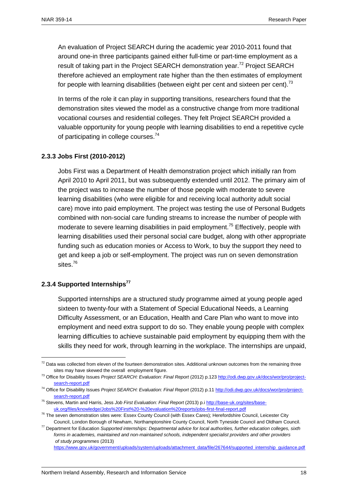An evaluation of Project SEARCH during the academic year 2010-2011 found that around one-in three participants gained either full-time or part-time employment as a result of taking part in the Project SEARCH demonstration vear.<sup>72</sup> Project SEARCH therefore achieved an employment rate higher than the then estimates of employment for people with learning disabilities (between eight per cent and sixteen per cent).<sup>73</sup>

In terms of the role it can play in supporting transitions, researchers found that the demonstration sites viewed the model as a constructive change from more traditional vocational courses and residential colleges. They felt Project SEARCH provided a valuable opportunity for young people with learning disabilities to end a repetitive cycle of participating in college courses. $74$ 

#### **2.3.3 Jobs First (2010-2012)**

Jobs First was a Department of Health demonstration project which initially ran from April 2010 to April 2011, but was subsequently extended until 2012. The primary aim of the project was to increase the number of those people with moderate to severe learning disabilities (who were eligible for and receiving local authority adult social care) move into paid employment. The project was testing the use of Personal Budgets combined with non-social care funding streams to increase the number of people with moderate to severe learning disabilities in paid employment.<sup>75</sup> Effectively, people with learning disabilities used their personal social care budget, along with other appropriate funding such as education monies or Access to Work, to buy the support they need to get and keep a job or self-employment. The project was run on seven demonstration sites.<sup>76</sup>

#### **2.3.4 Supported Internships<sup>77</sup>**

 $\overline{a}$ 

Supported internships are a structured study programme aimed at young people aged sixteen to twenty-four with a Statement of Special Educational Needs, a Learning Difficulty Assessment, or an Education, Health and Care Plan who want to move into employment and need extra support to do so. They enable young people with complex learning difficulties to achieve sustainable paid employment by equipping them with the skills they need for work, through learning in the workplace. The internships are unpaid,

[https://www.gov.uk/government/uploads/system/uploads/attachment\\_data/file/267644/supported\\_internship\\_guidance.pdf](https://www.gov.uk/government/uploads/system/uploads/attachment_data/file/267644/supported_internship_guidance.pdf)

 $72$  Data was collected from eleven of the fourteen demonstration sites. Additional unknown outcomes from the remaining three sites may have skewed the overall employment figure.

<sup>73</sup> Office for Disability Issues *Project SEARCH: Evaluation: Final Report* (2012) p.123 [http://odi.dwp.gov.uk/docs/wor/pro/project](http://odi.dwp.gov.uk/docs/wor/pro/project-search-report.pdf)[search-report.pdf](http://odi.dwp.gov.uk/docs/wor/pro/project-search-report.pdf)

<sup>&</sup>lt;sup>74</sup> Office for Disability Issues Project SEARCH: Evaluation: Final Report (2012) p.1[1 http://odi.dwp.gov.uk/docs/wor/pro/project](http://odi.dwp.gov.uk/docs/wor/pro/project-search-report.pdf)[search-report.pdf](http://odi.dwp.gov.uk/docs/wor/pro/project-search-report.pdf)

<sup>75</sup> Stevens, Martin and Harris, Jess *Job First Evaluation: Final Report* (2013) p.i [http://base-uk.org/sites/base](http://base-uk.org/sites/base-uk.org/files/knowledge/Jobs%20First%20-%20evaluation%20reports/jobs-first-final-report.pdf)[uk.org/files/knowledge/Jobs%20First%20-%20evaluation%20reports/jobs-first-final-report.pdf](http://base-uk.org/sites/base-uk.org/files/knowledge/Jobs%20First%20-%20evaluation%20reports/jobs-first-final-report.pdf)

 $^{76}$  The seven demonstration sites were: Essex County Council (with Essex Cares); Herefordshire Council, Leicester City Council, London Borough of Newham, Northamptonshire County Council, North Tyneside Council and Oldham Council.

<sup>77</sup> Department for Education *Supported internships: Departmental advice for local authorities, further education colleges, sixth forms in academies, maintained and non-maintained schools, independent specialist providers and other providers of study programmes* (2013)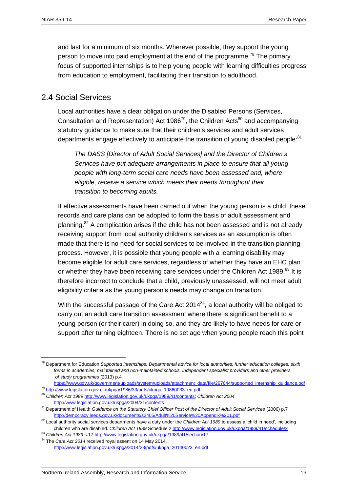and last for a minimum of six months. Wherever possible, they support the young person to move into paid employment at the end of the programme.<sup>78</sup> The primary focus of supported internships is to help young people with learning difficulties progress from education to employment, facilitating their transition to adulthood.

## <span id="page-20-0"></span>2.4 Social Services

Local authorities have a clear obligation under the Disabled Persons (Services, Consultation and Representation) Act 1986<sup>79</sup>, the Children Acts<sup>80</sup> and accompanying statutory guidance to make sure that their children's services and adult services departments engage effectively to anticipate the transition of young disabled people: $81$ 

*The DASS [Director of Adult Social Services] and the Director of Children's Services have put adequate arrangements in place to ensure that all young people with long-term social care needs have been assessed and, where eligible, receive a service which meets their needs throughout their transition to becoming adults.*

If effective assessments have been carried out when the young person is a child, these records and care plans can be adopted to form the basis of adult assessment and planning.<sup>82</sup> A complication arises if the child has not been assessed and is not already receiving support from local authority children's services as an assumption is often made that there is no need for social services to be involved in the transition planning process. However, it is possible that young people with a learning disability may become eligible for adult care services, regardless of whether they have an EHC plan or whether they have been receiving care services under the Children Act 1989.<sup>83</sup> It is therefore incorrect to conclude that a child, previously unassessed, will not meet adult eligibility criteria as the young person's needs may change on transition.

With the successful passage of the Care Act  $2014^{84}$ , a local authority will be obliged to carry out an adult care transition assessment where there is significant benefit to a young person (or their carer) in doing so, and they are likely to have needs for care or support after turning eighteen. There is no set age when young people reach this point

[https://www.gov.uk/government/uploads/system/uploads/attachment\\_data/file/267644/supported\\_internship\\_guidance.pdf](https://www.gov.uk/government/uploads/system/uploads/attachment_data/file/267644/supported_internship_guidance.pdf) <sup>79</sup> [http://www.legislation.gov.uk/ukpga/1986/33/pdfs/ukpga\\_19860033\\_en.pdf](http://www.legislation.gov.uk/ukpga/1986/33/pdfs/ukpga_19860033_en.pdf)

<sup>78</sup> Department for Education *Supported internships: Departmental advice for local authorities, further education colleges, sixth forms in academies, maintained and non-maintained schools, independent specialist providers and other providers of study programmes* (2013) p.4

<sup>80</sup> *Children Act 1989* [http://www.legislation.gov.uk/ukpga/1989/41/contents;](http://www.legislation.gov.uk/ukpga/1989/41/contents) *Children Act 2004*  <http://www.legislation.gov.uk/ukpga/2004/31/contents>

<sup>&</sup>lt;sup>81</sup> Department of Health *Guidance on the Statutory Chief Officer Post of the Director of Adult Social Services (2006) p.7* <http://democracy.leeds.gov.uk/documents/s2405/Adult%20Service%20Appendix%201.pdf>

<sup>&</sup>lt;sup>82</sup> Local authority social services departments have a duty under the *Children Act 1989* to assess a 'child in need', including children who are disabled. *Children Act 1989* Schedule [2 http://www.legislation.gov.uk/ukpga/1989/41/schedule/2](http://www.legislation.gov.uk/ukpga/1989/41/schedule/2)

<sup>83</sup> *Children Act 1989* s.17<http://www.legislation.gov.uk/ukpga/1989/41/section/17>

<sup>84</sup> The *Care Act 2014* received royal assent on 14 May 2014. [http://www.legislation.gov.uk/ukpga/2014/23/pdfs/ukpga\\_20140023\\_en.pdf](http://www.legislation.gov.uk/ukpga/2014/23/pdfs/ukpga_20140023_en.pdf)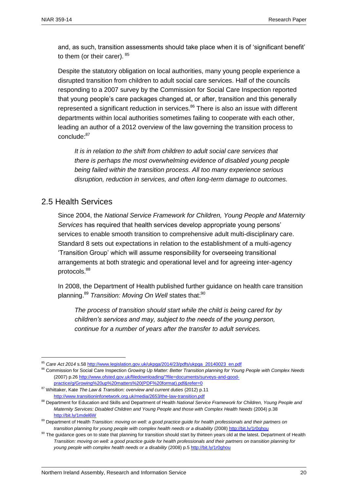and, as such, transition assessments should take place when it is of 'significant benefit' to them (or their carer).  $85$ 

Despite the statutory obligation on local authorities, many young people experience a disrupted transition from children to adult social care services. Half of the councils responding to a 2007 survey by the Commission for Social Care Inspection reported that young people's care packages changed at, or after, transition and this generally represented a significant reduction in services.<sup>86</sup> There is also an issue with different departments within local authorities sometimes failing to cooperate with each other, leading an author of a 2012 overview of the law governing the transition process to conclude:<sup>87</sup>

*It is in relation to the shift from children to adult social care services that there is perhaps the most overwhelming evidence of disabled young people being failed within the transition process. All too many experience serious disruption, reduction in services, and often long-term damage to outcomes.*

# <span id="page-21-0"></span>2.5 Health Services

 $\overline{a}$ 

Since 2004, the *National Service Framework for Children, Young People and Maternity Services* has required that health services develop appropriate young persons' services to enable smooth transition to comprehensive adult multi-disciplinary care. Standard 8 sets out expectations in relation to the establishment of a multi-agency 'Transition Group' which will assume responsibility for overseeing transitional arrangements at both strategic and operational level and for agreeing inter-agency protocols.<sup>88</sup>

In 2008, the Department of Health published further guidance on health care transition planning.<sup>89</sup> *Transition: Moving On Well* states that:<sup>90</sup>

*The process of transition should start while the child is being cared for by children's services and may, subject to the needs of the young person, continue for a number of years after the transfer to adult services.*

<sup>85</sup> *Care Act 2014* s.5[8 http://www.legislation.gov.uk/ukpga/2014/23/pdfs/ukpga\\_20140023\\_en.pdf](http://www.legislation.gov.uk/ukpga/2014/23/pdfs/ukpga_20140023_en.pdf)

<sup>86</sup> Commission for Social Care Inspection *Growing Up Matter: Better Transition planning for Young People with Complex Needs* (2007) p.2[6 http://www.ofsted.gov.uk/filedownloading/?file=documents/surveys-and-good](http://www.ofsted.gov.uk/filedownloading/?file=documents/surveys-and-good-practice/g/Growing%20up%20matters%20(PDF%20format).pdf&refer=0)[practice/g/Growing%20up%20matters%20\(PDF%20format\).pdf&refer=0](http://www.ofsted.gov.uk/filedownloading/?file=documents/surveys-and-good-practice/g/Growing%20up%20matters%20(PDF%20format).pdf&refer=0)

<sup>87</sup> Whittaker, Kate *The Law & Transition: overview and current duties* (2012) p.11 <http://www.transitioninfonetwork.org.uk/media/2653/the-law-transition.pdf>

<sup>88</sup> Department for Education and Skills and Department of Health *National Service Framework for Children, Young People and Maternity Services: Disabled Children and Young People and those with Complex Health Needs (2004) p.38* <http://bit.ly/1mdel6W>

<sup>89</sup> Department of Health *Transition: moving on well: a good practice guide for health professionals and their partners on transition planning for young people with complex health needs or a disability* (2008)<http://bit.ly/1r0ghou>

<sup>&</sup>lt;sup>90</sup> The guidance goes on to state that planning for transition should start by thirteen years old at the latest. Department of Health *Transition: moving on well: a good practice guide for health professionals and their partners on transition planning for young people with complex health needs or a disability* (2008) p.[5 http://bit.ly/1r0ghou](http://bit.ly/1r0ghou)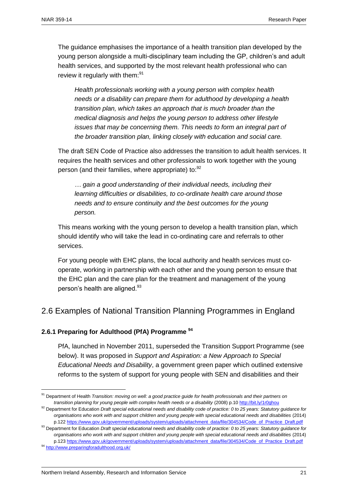The guidance emphasises the importance of a health transition plan developed by the young person alongside a multi-disciplinary team including the GP, children's and adult health services, and supported by the most relevant health professional who can review it regularly with them:<sup>91</sup>

*Health professionals working with a young person with complex health needs or a disability can prepare them for adulthood by developing a health transition plan, which takes an approach that is much broader than the medical diagnosis and helps the young person to address other lifestyle issues that may be concerning them. This needs to form an integral part of the broader transition plan, linking closely with education and social care.*

The draft SEN Code of Practice also addresses the transition to adult health services. It requires the health services and other professionals to work together with the young person (and their families, where appropriate) to: <sup>92</sup>

*… gain a good understanding of their individual needs, including their learning difficulties or disabilities, to co-ordinate health care around those needs and to ensure continuity and the best outcomes for the young person.* 

This means working with the young person to develop a health transition plan, which should identify who will take the lead in co-ordinating care and referrals to other services.

For young people with EHC plans, the local authority and health services must cooperate, working in partnership with each other and the young person to ensure that the EHC plan and the care plan for the treatment and management of the young person's health are aligned.<sup>93</sup>

# <span id="page-22-0"></span>2.6 Examples of National Transition Planning Programmes in England

#### **2.6.1 Preparing for Adulthood (PfA) Programme <sup>94</sup>**

PfA, launched in November 2011, superseded the Transition Support Programme (see below). It was proposed in *Support and Aspiration: a New Approach to Special Educational Needs and Disability*, a government green paper which outlined extensive reforms to the system of support for young people with SEN and disabilities and their

<sup>91</sup> Department of Health *Transition: moving on well: a good practice guide for health professionals and their partners on transition planning for young people with complex health needs or a disability (2008) p.1[0 http://bit.ly/1r0ghou](http://bit.ly/1r0ghou)* 

<sup>&</sup>lt;sup>92</sup> Department for Education *Draft special educational needs and disability code of practice: 0 to 25 years: Statutory guidance for organisations who work with and support children and young people with special educational needs and disabilities* (2014) p.12[2 https://www.gov.uk/government/uploads/system/uploads/attachment\\_data/file/304534/Code\\_of\\_Practice\\_Draft.pdf](https://www.gov.uk/government/uploads/system/uploads/attachment_data/file/304534/Code_of_Practice_Draft.pdf)

<sup>93</sup> Department for Education *Draft special educational needs and disability code of practice: 0 to 25 years: Statutory guidance for organisations who work with and support children and young people with special educational needs and disabilities* (2014) p.12[3 https://www.gov.uk/government/uploads/system/uploads/attachment\\_data/file/304534/Code\\_of\\_Practice\\_Draft.pdf](https://www.gov.uk/government/uploads/system/uploads/attachment_data/file/304534/Code_of_Practice_Draft.pdf)

<sup>94</sup> <http://www.preparingforadulthood.org.uk/>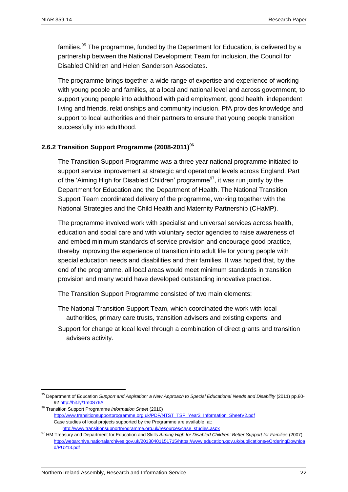families.<sup>95</sup> The programme, funded by the Department for Education, is delivered by a partnership between the National Development Team for inclusion, the Council for Disabled Children and Helen Sanderson Associates.

The programme brings together a wide range of expertise and experience of working with young people and families, at a local and national level and across government, to support young people into adulthood with paid employment, good health, independent living and friends, relationships and community inclusion. PfA provides knowledge and support to local authorities and their partners to ensure that young people transition successfully into adulthood.

#### **2.6.2 Transition Support Programme (2008-2011)<sup>96</sup>**

The Transition Support Programme was a three year national programme initiated to support service improvement at strategic and operational levels across England. Part of the 'Aiming High for Disabled Children' programme<sup>97</sup>, it was run jointly by the Department for Education and the Department of Health. The National Transition Support Team coordinated delivery of the programme, working together with the National Strategies and the Child Health and Maternity Partnership (CHaMP).

The programme involved work with specialist and universal services across health, education and social care and with voluntary sector agencies to raise awareness of and embed minimum standards of service provision and encourage good practice, thereby improving the experience of transition into adult life for young people with special education needs and disabilities and their families. It was hoped that, by the end of the programme, all local areas would meet minimum standards in transition provision and many would have developed outstanding innovative practice.

The Transition Support Programme consisted of two main elements:

- The National Transition Support Team, which coordinated the work with local authorities, primary care trusts, transition advisers and existing experts; and
- Support for change at local level through a combination of direct grants and transition advisers activity.

<sup>96</sup> Transition Support Programme *Information Sheet* (2010)

<sup>95</sup> Department of Education *Support and Aspiration: a New Approach to Special Educational Needs and Disability* (2011) pp.80- 9[2 http://bit.ly/1m0S76A](http://bit.ly/1m0S76A)

[http://www.transitionsupportprogramme.org.uk/PDF/NTST\\_TSP\\_Year3\\_Information\\_SheetV2.pdf](http://www.transitionsupportprogramme.org.uk/PDF/NTST_TSP_Year3_Information_SheetV2.pdf) Case studies of local projects supported by the Programme are available at: [http://www.transitionsupportprogramme.org.uk/resources/case\\_studies.aspx](http://www.transitionsupportprogramme.org.uk/resources/case_studies.aspx)

<sup>97</sup> HM Treasury and Department for Education and Skills Aiming High for Disabled Children: Better Support for Families (2007) [http://webarchive.nationalarchives.gov.uk/20130401151715/https://www.education.gov.uk/publications/eOrderingDownloa](http://webarchive.nationalarchives.gov.uk/20130401151715/https:/www.education.gov.uk/publications/eOrderingDownload/PU213.pdf) [d/PU213.pdf](http://webarchive.nationalarchives.gov.uk/20130401151715/https:/www.education.gov.uk/publications/eOrderingDownload/PU213.pdf)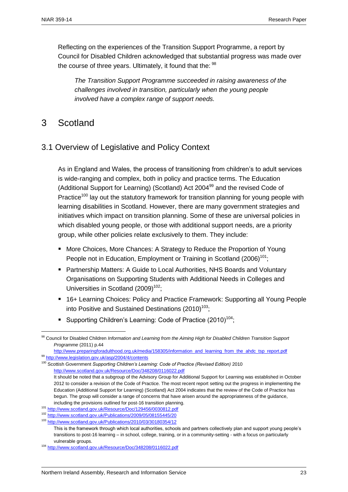Reflecting on the experiences of the Transition Support Programme, a report by Council for Disabled Children acknowledged that substantial progress was made over the course of three years. Ultimately, it found that the:  $98$ 

*The Transition Support Programme succeeded in raising awareness of the challenges involved in transition, particularly when the young people involved have a complex range of support needs.* 

# <span id="page-24-1"></span><span id="page-24-0"></span>3 Scotland

 $\overline{a}$ 

# 3.1 Overview of Legislative and Policy Context

As in England and Wales, the process of transitioning from children's to adult services is wide-ranging and complex, both in policy and practice terms. The Education (Additional Support for Learning) (Scotland) Act 2004 $99$  and the revised Code of Practice<sup>100</sup> lay out the statutory framework for transition planning for young people with learning disabilities in Scotland. However, there are many government strategies and initiatives which impact on transition planning. Some of these are universal policies in which disabled young people, or those with additional support needs, are a priority group, while other policies relate exclusively to them. They include:

- More Choices, More Chances: A Strategy to Reduce the Proportion of Young People not in Education, Employment or Training in Scotland (2006)<sup>101</sup>;
- Partnership Matters: A Guide to Local Authorities, NHS Boards and Voluntary Organisations on Supporting Students with Additional Needs in Colleges and Universities in Scotland  $(2009)^{102}$ .
- 16+ Learning Choices: Policy and Practice Framework: Supporting all Young People into Positive and Sustained Destinations  $(2010)^{103}$ ;
- Supporting Children's Learning: Code of Practice  $(2010)^{104}$ :

<sup>98</sup> Council for Disabled Children *Information and Learning from the Aiming High for Disabled Children Transition Support Programme* (2011) p.44

[http://www.preparingforadulthood.org.uk/media/158305/information\\_and\\_learning\\_from\\_the\\_ahdc\\_tsp\\_report.pdf](http://www.preparingforadulthood.org.uk/media/158305/information_and_learning_from_the_ahdc_tsp_report.pdf) <sup>99</sup> <http://www.legislation.gov.uk/asp/2004/4/contents>

<sup>&</sup>lt;sup>100</sup> Scottish Government *Supporting Children's Learning: Code of Practice (Revised Edition)* 2010 <http://www.scotland.gov.uk/Resource/Doc/348208/0116022.pdf> It should be noted that a subgroup of the Advisory Group for Additional Support for Learning was established in October 2012 to consider a revision of the Code of Practice. The most recent report setting out the progress in implementing the Education (Additional Support for Learning) (Scotland) Act 2004 indicates that the review of the Code of Practice has begun. The group will consider a range of concerns that have arisen around the appropriateness of the guidance, including the provisions outlined for post-16 transition planning.

<sup>101</sup> <http://www.scotland.gov.uk/Resource/Doc/129456/0030812.pdf>

<sup>102</sup> <http://www.scotland.gov.uk/Publications/2009/05/08155445/20>

<sup>103</sup> <http://www.scotland.gov.uk/Publications/2010/03/30180354/12>

This is the framework through which local authorities, schools and partners collectively plan and support young people's transitions to post-16 learning – in school, college, training, or in a community-setting - with a focus on particularly vulnerable groups.

<sup>104</sup> <http://www.scotland.gov.uk/Resource/Doc/348208/0116022.pdf>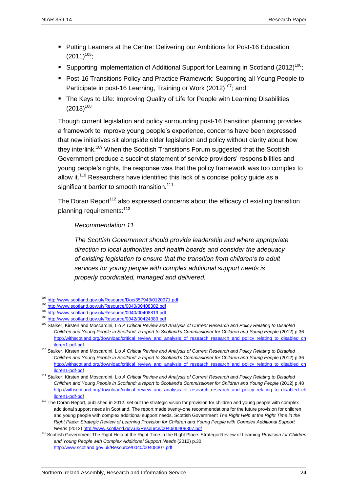- **Putting Learners at the Centre: Delivering our Ambitions for Post-16 Education**  $(2011)^{105}$ ;
- Supporting Implementation of Additional Support for Learning in Scotland (2012)<sup>106</sup>;
- Post-16 Transitions Policy and Practice Framework: Supporting all Young People to Participate in post-16 Learning, Training or Work (2012)<sup>107</sup>; and
- The Keys to Life: Improving Quality of Life for People with Learning Disabilities  $(2013)^{108}$

Though current legislation and policy surrounding post-16 transition planning provides a framework to improve young people's experience, concerns have been expressed that new initiatives sit alongside older legislation and policy without clarity about how they interlink.<sup>109</sup> When the Scottish Transitions Forum suggested that the Scottish Government produce a succinct statement of service providers' responsibilities and young people's rights, the response was that the policy framework was too complex to allow it.<sup>110</sup> Researchers have identified this lack of a concise policy guide as a significant barrier to smooth transition.<sup>111</sup>

The Doran Report<sup>112</sup> also expressed concerns about the efficacy of existing transition planning requirements:<sup>113</sup>

*Recommendation 11*

*The Scottish Government should provide leadership and where appropriate direction to local authorities and health boards and consider the adequacy of existing legislation to ensure that the transition from children's to adult services for young people with complex additional support needs is properly coordinated, managed and delivered.*

<sup>105</sup> <http://www.scotland.gov.uk/Resource/Doc/357943/0120971.pdf>

<sup>106</sup> <http://www.scotland.gov.uk/Resource/0040/00408302.pdf>

<sup>107</sup> <http://www.scotland.gov.uk/Resource/0040/00408819.pdf>

<sup>108</sup> <http://www.scotland.gov.uk/Resource/0042/00424389.pdf>

<sup>109</sup> Stalker, Kirsten and Moscardini, Lio *A Critical Review and Analysis of Current Research and Policy Relating to Disabled Children and Young People in Scotland: a report to Scotland's Commissioner for Children and Young People* (2012) p.36 [http://withscotland.org/download/critical\\_review\\_and\\_analysis\\_of\\_research\\_research\\_and\\_policy\\_relating\\_to\\_disabled\\_ch](http://withscotland.org/download/critical_review_and_analysis_of_research_research_and_policy_relating_to_disabled_children1-pdf-pdf) [ildren1-pdf-pdf](http://withscotland.org/download/critical_review_and_analysis_of_research_research_and_policy_relating_to_disabled_children1-pdf-pdf)

<sup>110</sup> Stalker, Kirsten and Moscardini, Lio *A Critical Review and Analysis of Current Research and Policy Relating to Disabled Children and Young People in Scotland: a report to Scotland's Commissioner for Children and Young People* (2012) p.36 [http://withscotland.org/download/critical\\_review\\_and\\_analysis\\_of\\_research\\_research\\_and\\_policy\\_relating\\_to\\_disabled\\_ch](http://withscotland.org/download/critical_review_and_analysis_of_research_research_and_policy_relating_to_disabled_children1-pdf-pdf) [ildren1-pdf-pdf](http://withscotland.org/download/critical_review_and_analysis_of_research_research_and_policy_relating_to_disabled_children1-pdf-pdf)

<sup>111</sup> Stalker, Kirsten and Moscardini, Lio *A Critical Review and Analysis of Current Research and Policy Relating to Disabled Children and Young People in Scotland: a report to Scotland's Commissioner for Children and Young People* (2012) p.48 [http://withscotland.org/download/critical\\_review\\_and\\_analysis\\_of\\_research\\_research\\_and\\_policy\\_relating\\_to\\_disabled\\_ch](http://withscotland.org/download/critical_review_and_analysis_of_research_research_and_policy_relating_to_disabled_children1-pdf-pdf) [ildren1-pdf-pdf](http://withscotland.org/download/critical_review_and_analysis_of_research_research_and_policy_relating_to_disabled_children1-pdf-pdf)

<sup>&</sup>lt;sup>112</sup> The Doran Report, published in 2012, set out the strategic vision for provision for children and young people with complex additional support needs in Scotland. The report made twenty-one recommendations for the future provision for children and young people with complex additional support needs. Scottish Government *The Right Help at the Right Time in the Right Place: Strategic Review of Learning Provision for Children and Young People with Complex Additional Support Needs* (2012)<http://www.scotland.gov.uk/Resource/0040/00408307.pdf>

<sup>113</sup> Scottish Government The Right Help at the Right Time in the Right Place: Strategic Review of Learning *Provision for Children and Young People with Complex Additional Support Needs* (2012) p.30 <http://www.scotland.gov.uk/Resource/0040/00408307.pdf>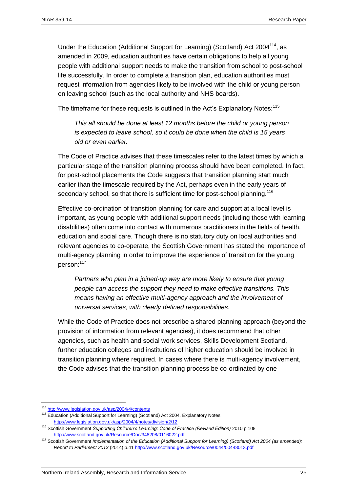Under the Education (Additional Support for Learning) (Scotland) Act 2004<sup>114</sup>, as amended in 2009, education authorities have certain obligations to help all young people with additional support needs to make the transition from school to post-school life successfully. In order to complete a transition plan, education authorities must request information from agencies likely to be involved with the child or young person on leaving school (such as the local authority and NHS boards).

The timeframe for these requests is outlined in the Act's Explanatory Notes:<sup>115</sup>

*This all should be done at least 12 months before the child or young person is expected to leave school, so it could be done when the child is 15 years old or even earlier.*

The Code of Practice advises that these timescales refer to the latest times by which a particular stage of the transition planning process should have been completed. In fact, for post-school placements the Code suggests that transition planning start much earlier than the timescale required by the Act, perhaps even in the early years of secondary school, so that there is sufficient time for post-school planning.<sup>116</sup>

Effective co-ordination of transition planning for care and support at a local level is important, as young people with additional support needs (including those with learning disabilities) often come into contact with numerous practitioners in the fields of health, education and social care. Though there is no statutory duty on local authorities and relevant agencies to co-operate, the Scottish Government has stated the importance of multi-agency planning in order to improve the experience of transition for the young person:<sup>117</sup>

*Partners who plan in a joined-up way are more likely to ensure that young people can access the support they need to make effective transitions. This means having an effective multi-agency approach and the involvement of universal services, with clearly defined responsibilities.* 

While the Code of Practice does not prescribe a shared planning approach (beyond the provision of information from relevant agencies), it does recommend that other agencies, such as health and social work services, Skills Development Scotland, further education colleges and institutions of higher education should be involved in transition planning where required. In cases where there is multi-agency involvement, the Code advises that the transition planning process be co-ordinated by one

<sup>114</sup> <http://www.legislation.gov.uk/asp/2004/4/contents>

<sup>&</sup>lt;sup>115</sup> Education (Additional Support for Learning) (Scotland) Act 2004. Explanatory Notes <http://www.legislation.gov.uk/asp/2004/4/notes/division/2/12>

<sup>&</sup>lt;sup>116</sup> Scottish Government Supporting Children's Learning: Code of Practice (Revised Edition) 2010 p.108 <http://www.scotland.gov.uk/Resource/Doc/348208/0116022.pdf>

<sup>117</sup> Scottish Government *Implementation of the Education (Additional Support for Learning) (Scotland) Act 2004 (as amended): Report to Parliament 2013* (2014) p.41<http://www.scotland.gov.uk/Resource/0044/00448013.pdf>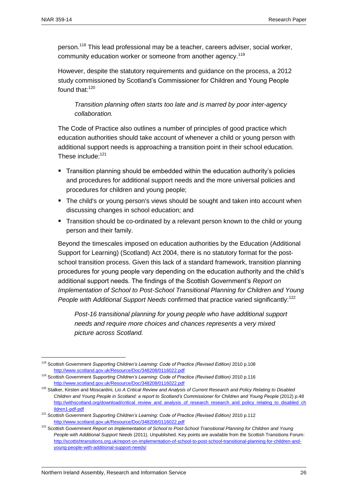person.<sup>118</sup> This lead professional may be a teacher, careers adviser, social worker, community education worker or someone from another agency.<sup>119</sup>

However, despite the statutory requirements and guidance on the process, a 2012 study commissioned by Scotland's Commissioner for Children and Young People found that:<sup>120</sup>

*Transition planning often starts too late and is marred by poor inter-agency collaboration.*

The Code of Practice also outlines a number of principles of good practice which education authorities should take account of whenever a child or young person with additional support needs is approaching a transition point in their school education. These include:<sup>121</sup>

- Transition planning should be embedded within the education authority's policies and procedures for additional support needs and the more universal policies and procedures for children and young people;
- The child's or young person's views should be sought and taken into account when discussing changes in school education; and
- **Transition should be co-ordinated by a relevant person known to the child or young** person and their family.

Beyond the timescales imposed on education authorities by the Education (Additional Support for Learning) (Scotland) Act 2004, there is no statutory format for the postschool transition process. Given this lack of a standard framework, transition planning procedures for young people vary depending on the education authority and the child's additional support needs. The findings of the Scottish Government's *Report on Implementation of School to Post-School Transitional Planning for Children and Young People with Additional Support Needs* confirmed that practice varied significantly:<sup>122</sup>

*Post-16 transitional planning for young people who have additional support needs and require more choices and chances represents a very mixed picture across Scotland.*

<sup>&</sup>lt;sup>118</sup> Scottish Government *Supporting Children's Learning: Code of Practice (Revised Edition)* 2010 p.108 <http://www.scotland.gov.uk/Resource/Doc/348208/0116022.pdf>

<sup>&</sup>lt;sup>119</sup> Scottish Government Supporting Children's Learning: Code of Practice (Revised Edition) 2010 p.116 <http://www.scotland.gov.uk/Resource/Doc/348208/0116022.pdf>

<sup>120</sup> Stalker, Kirsten and Moscardini, Lio *A Critical Review and Analysis of Current Research and Policy Relating to Disabled Children and Young People in Scotland: a report to Scotland's Commissioner for Children and Young People* (2012) p.48 [http://withscotland.org/download/critical\\_review\\_and\\_analysis\\_of\\_research\\_research\\_and\\_policy\\_relating\\_to\\_disabled\\_ch](http://withscotland.org/download/critical_review_and_analysis_of_research_research_and_policy_relating_to_disabled_children1-pdf-pdf) [ildren1-pdf-pdf](http://withscotland.org/download/critical_review_and_analysis_of_research_research_and_policy_relating_to_disabled_children1-pdf-pdf)

<sup>&</sup>lt;sup>121</sup> Scottish Government *Supporting Children's Learning: Code of Practice (Revised Edition)* 2010 p.112 <http://www.scotland.gov.uk/Resource/Doc/348208/0116022.pdf>

<sup>&</sup>lt;sup>122</sup> Scottish Government *Report on Implementation of School to Post-School Transitional Planning for Children and Young People with Additional Support Needs* (2011). Unpublished. Key points are available from the Scottish Transitions Forum: [http://scottishtransitions.org.uk/report-on-implementation-of-school-to-post-school-transitional-planning-for-children-and](http://scottishtransitions.org.uk/report-on-implementation-of-school-to-post-school-transitional-planning-for-children-and-young-people-with-additional-support-needs/)[young-people-with-additional-support-needs/](http://scottishtransitions.org.uk/report-on-implementation-of-school-to-post-school-transitional-planning-for-children-and-young-people-with-additional-support-needs/)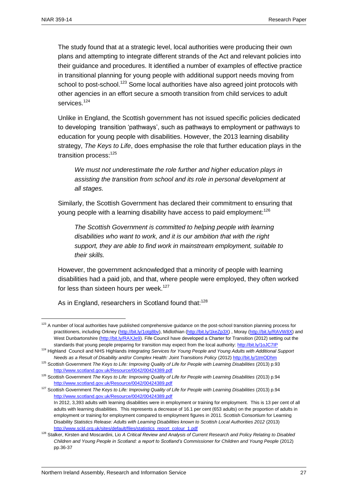The study found that at a strategic level, local authorities were producing their own plans and attempting to integrate different strands of the Act and relevant policies into their guidance and procedures. It identified a number of examples of effective practice in transitional planning for young people with additional support needs moving from school to post-school.<sup>123</sup> Some local authorities have also agreed joint protocols with other agencies in an effort secure a smooth transition from child services to adult services.<sup>124</sup>

Unlike in England, the Scottish government has not issued specific policies dedicated to developing transition 'pathways', such as pathways to employment or pathways to education for young people with disabilities. However, the 2013 learning disability strategy, *The Keys to Life*, does emphasise the role that further education plays in the transition process:<sup>125</sup>

*We must not underestimate the role further and higher education plays in assisting the transition from school and its role in personal development at all stages.*

Similarly, the Scottish Government has declared their commitment to ensuring that young people with a learning disability have access to paid employment:<sup>126</sup>

*The Scottish Government is committed to helping people with learning disabilities who want to work, and it is our ambition that with the right support, they are able to find work in mainstream employment, suitable to their skills.*

However, the government acknowledged that a minority of people with learning disabilities had a paid job, and that, where people were employed, they often worked for less than sixteen hours per week.<sup>127</sup>

As in England, researchers in Scotland found that:<sup>128</sup>

<sup>&</sup>lt;sup>123</sup> A number of local authorities have published comprehensive guidance on the post-school transition planning process for practitioners, including Orkney [\(http://bit.ly/1otg8bv\)](http://bit.ly/1otg8bv), Midlothian [\(http://bit.ly/1keZp3X\)](http://bit.ly/1keZp3X), Moray [\(http://bit.ly/RAVW8X\)](http://bit.ly/RAVW8X) and West Dunbartonshire [\(http://bit.ly/RAXJe9\)](http://bit.ly/RAXJe9). Fife Council have developed a Charter for Transition (2012) setting out the standards that young people preparing for transition may expect from the local authority:<http://bit.ly/1oJC7IP>

<sup>124</sup> Highland Council and NHS Highlands *Integrating Services for Young People and Young Adults with Additional Support Needs as a Result of Disability and/or Complex Health: Joint Transitions Policy* (2012) <http://bit.ly/1tmODhm>

<sup>&</sup>lt;sup>125</sup> Scottish Government *The Keys to Life: Improving Quality of Life for People with Learning Disabilities (2013) p.93* <http://www.scotland.gov.uk/Resource/0042/00424389.pdf>

<sup>&</sup>lt;sup>126</sup> Scottish Government *The Keys to Life: Improving Quality of Life for People with Learning Disabilities (2013) p.94* <http://www.scotland.gov.uk/Resource/0042/00424389.pdf>

<sup>&</sup>lt;sup>127</sup> Scottish Government *The Keys to Life: Improving Quality of Life for People with Learning Disabilities (2013) p.94* <http://www.scotland.gov.uk/Resource/0042/00424389.pdf>

In 2012, 3,393 adults with learning disabilities were in employment or training for employment. This is 13 per cent of all adults with learning disabilities. This represents a decrease of 16.1 per cent (653 adults) on the proportion of adults in employment or training for employment compared to employment figures in 2011. Scottish Consortium for Learning Disability *Statistics Release: Adults with Learning Disabilities known to Scottish Local Authorities 2012* (2013) [http://www.scld.org.uk/sites/default/files/statistics\\_report\\_colour\\_1.pdf](http://www.scld.org.uk/sites/default/files/statistics_report_colour_1.pdf)

<sup>128</sup> Stalker, Kirsten and Moscardini, Lio *A Critical Review and Analysis of Current Research and Policy Relating to Disabled Children and Young People in Scotland: a report to Scotland's Commissioner for Children and Young People* (2012) pp.36-37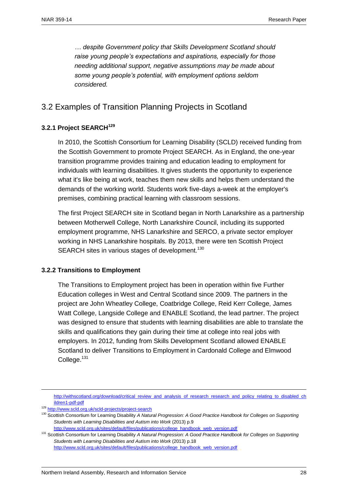*… despite Government policy that Skills Development Scotland should raise young people's expectations and aspirations, especially for those needing additional support, negative assumptions may be made about some young people's potential, with employment options seldom considered.*

# <span id="page-29-0"></span>3.2 Examples of Transition Planning Projects in Scotland

#### **3.2.1 Project SEARCH<sup>129</sup>**

In 2010, the Scottish Consortium for Learning Disability (SCLD) received funding from the Scottish Government to promote Project SEARCH. As in England, the one-year transition programme provides training and education leading to employment for individuals with learning disabilities. It gives students the opportunity to experience what it's like being at work, teaches them new skills and helps them understand the demands of the working world. Students work five-days a-week at the employer's premises, combining practical learning with classroom sessions.

The first Project SEARCH site in Scotland began in North Lanarkshire as a partnership between Motherwell College, North Lanarkshire Council, including its supported employment programme, NHS Lanarkshire and SERCO, a private sector employer working in NHS Lanarkshire hospitals. By 2013, there were ten Scottish Project SEARCH sites in various stages of development.<sup>130</sup>

#### **3.2.2 Transitions to Employment**

The Transitions to Employment project has been in operation within five Further Education colleges in West and Central Scotland since 2009. The partners in the project are John Wheatley College, Coatbridge College, Reid Kerr College, James Watt College, Langside College and ENABLE Scotland, the lead partner. The project was designed to ensure that students with learning disabilities are able to translate the skills and qualifications they gain during their time at college into real jobs with employers. In 2012, funding from Skills Development Scotland allowed ENABLE Scotland to deliver Transitions to Employment in Cardonald College and Elmwood College. $131$ 

[http://withscotland.org/download/critical\\_review\\_and\\_analysis\\_of\\_research\\_research\\_and\\_policy\\_relating\\_to\\_disabled\\_ch](http://withscotland.org/download/critical_review_and_analysis_of_research_research_and_policy_relating_to_disabled_children1-pdf-pdf) [ildren1-pdf-pdf](http://withscotland.org/download/critical_review_and_analysis_of_research_research_and_policy_relating_to_disabled_children1-pdf-pdf)

<sup>129</sup> <http://www.scld.org.uk/scld-projects/project-search>

<sup>130</sup> Scottish Consortium for Learning Disability A Natural Progression: A Good Practice Handbook for Colleges on Supporting *Students with Learning Disabilities and Autism into Work* (2013) p.9

[http://www.scld.org.uk/sites/default/files/publications/college\\_handbook\\_web\\_version.pdf](http://www.scld.org.uk/sites/default/files/publications/college_handbook_web_version.pdf)

<sup>131</sup> Scottish Consortium for Learning Disability A Natural Progression: A Good Practice Handbook for Colleges on Supporting *Students with Learning Disabilities and Autism into Work* (2013) p.18 [http://www.scld.org.uk/sites/default/files/publications/college\\_handbook\\_web\\_version.pdf](http://www.scld.org.uk/sites/default/files/publications/college_handbook_web_version.pdf)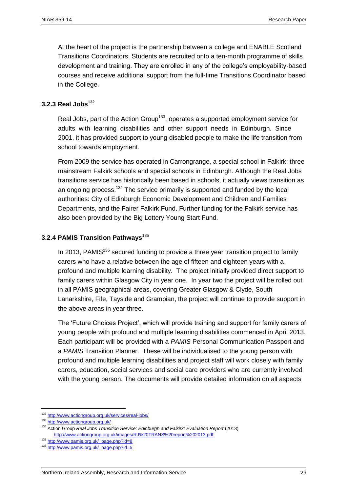At the heart of the project is the partnership between a college and ENABLE Scotland Transitions Coordinators. Students are recruited onto a ten-month programme of skills development and training. They are enrolled in any of the college's employability-based courses and receive additional support from the full-time Transitions Coordinator based in the College.

#### **3.2.3 Real Jobs<sup>132</sup>**

Real Jobs, part of the Action Group<sup>133</sup>, operates a supported employment service for adults with learning disabilities and other support needs in Edinburgh. Since 2001, it has provided support to young disabled people to make the life transition from school towards employment.

From 2009 the service has operated in Carrongrange, a special school in Falkirk; three mainstream Falkirk schools and special schools in Edinburgh. Although the Real Jobs transitions service has historically been based in schools, it actually views transition as an ongoing process.<sup>134</sup> The service primarily is supported and funded by the local authorities: City of Edinburgh Economic Development and Children and Families Departments, and the Fairer Falkirk Fund. Further funding for the Falkirk service has also been provided by the Big Lottery Young Start Fund.

#### **3.2.4 PAMIS Transition Pathways**<sup>135</sup>

In 2013, PAMIS $136$  secured funding to provide a three year transition project to family carers who have a relative between the age of fifteen and eighteen years with a profound and multiple learning disability. The project initially provided direct support to family carers within Glasgow City in year one. In year two the project will be rolled out in all PAMIS geographical areas, covering Greater Glasgow & Clyde, South Lanarkshire, Fife, Tayside and Grampian, the project will continue to provide support in the above areas in year three.

The 'Future Choices Project', which will provide training and support for family carers of young people with profound and multiple learning disabilities commenced in April 2013. Each participant will be provided with a *PAMIS* Personal Communication Passport and a *PAMIS* Transition Planner. These will be individualised to the young person with profound and multiple learning disabilities and project staff will work closely with family carers, education, social services and social care providers who are currently involved with the young person. The documents will provide detailed information on all aspects

<sup>132</sup> <http://www.actiongroup.org.uk/services/real-jobs/>

<sup>133</sup> <http://www.actiongroup.org.uk/>

<sup>134</sup> Action Group *Real Jobs Transition Service: Edinburgh and Falkirk: Evaluation Report* (2013) <http://www.actiongroup.org.uk/images/RJ%20TRANS%20report%202013.pdf>

<sup>135</sup> [http://www.pamis.org.uk/\\_page.php?id=8](http://www.pamis.org.uk/_page.php?id=8)

<sup>136</sup> [http://www.pamis.org.uk/\\_page.php?id=5](http://www.pamis.org.uk/_page.php?id=5)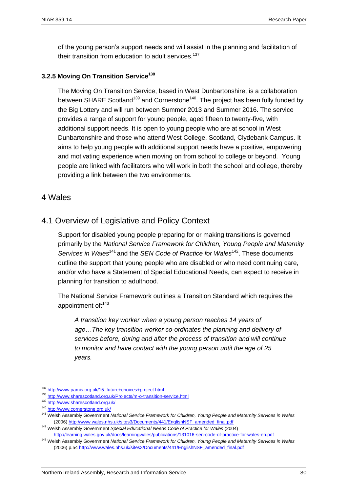of the young person's support needs and will assist in the planning and facilitation of their transition from education to adult services.<sup>137</sup>

#### **3.2.5 Moving On Transition Service<sup>138</sup>**

The Moving On Transition Service, based in West Dunbartonshire, is a collaboration between SHARE Scotland<sup>139</sup> and Cornerstone<sup>140</sup>. The project has been fully funded by the Big Lottery and will run between Summer 2013 and Summer 2016. The service provides a range of support for young people, aged fifteen to twenty-five, with additional support needs. It is open to young people who are at school in West Dunbartonshire and those who attend West College, Scotland, Clydebank Campus. It aims to help young people with additional support needs have a positive, empowering and motivating experience when moving on from school to college or beyond. Young people are linked with facilitators who will work in both the school and college, thereby providing a link between the two environments.

#### <span id="page-31-1"></span><span id="page-31-0"></span>4 Wales

### 4.1 Overview of Legislative and Policy Context

Support for disabled young people preparing for or making transitions is governed primarily by the *National Service Framework for Children, Young People and Maternity Services in Wales*<sup>141</sup> and the *SEN Code of Practice for Wales*<sup>142</sup>. These documents outline the support that young people who are disabled or who need continuing care, and/or who have a Statement of Special Educational Needs, can expect to receive in planning for transition to adulthood.

The National Service Framework outlines a Transition Standard which requires the appointment of: 143

*A transition key worker when a young person reaches 14 years of age…The key transition worker co-ordinates the planning and delivery of services before, during and after the process of transition and will continue to monitor and have contact with the young person until the age of 25 years.*

<sup>137</sup> [http://www.pamis.org.uk/15\\_future+choices+project.html](http://www.pamis.org.uk/15_future+choices+project.html)

<sup>138</sup> <http://www.sharescotland.org.uk/Projects/m-o-transition-service.html>

<sup>139</sup> <http://www.sharescotland.org.uk/>

<sup>140</sup> <http://www.cornerstone.org.uk/>

<sup>141</sup> Welsh Assembly Government *National Service Framework for Children, Young People and Maternity Services in Wales* (2006[\) http://www.wales.nhs.uk/sites3/Documents/441/EnglishNSF\\_amended\\_final.pdf](http://www.wales.nhs.uk/sites3/Documents/441/EnglishNSF_amended_final.pdf)

<sup>142</sup> Welsh Assembly Government *Special Educational Needs Code of Practice for Wales* (2004) <http://learning.wales.gov.uk/docs/learningwales/publications/131016-sen-code-of-practice-for-wales-en.pdf>

<sup>143</sup> Welsh Assembly Government *National Service Framework for Children, Young People and Maternity Services in Wales* (2006) p.5[4 http://www.wales.nhs.uk/sites3/Documents/441/EnglishNSF\\_amended\\_final.pdf](http://www.wales.nhs.uk/sites3/Documents/441/EnglishNSF_amended_final.pdf)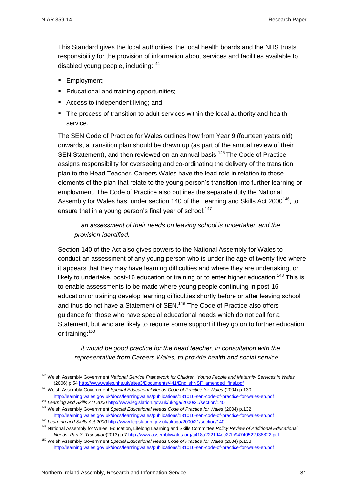This Standard gives the local authorities, the local health boards and the NHS trusts responsibility for the provision of information about services and facilities available to disabled young people, including:<sup>144</sup>

- **Employment;**
- **Educational and training opportunities;**
- Access to independent living; and
- The process of transition to adult services within the local authority and health service.

The SEN Code of Practice for Wales outlines how from Year 9 (fourteen years old) onwards, a transition plan should be drawn up (as part of the annual review of their SEN Statement), and then reviewed on an annual basis.<sup>145</sup> The Code of Practice assigns responsibility for overseeing and co-ordinating the delivery of the transition plan to the Head Teacher. Careers Wales have the lead role in relation to those elements of the plan that relate to the young person's transition into further learning or employment. The Code of Practice also outlines the separate duty the National Assembly for Wales has, under section 140 of the Learning and Skills Act 2000<sup>146</sup>, to ensure that in a young person's final year of school:<sup>147</sup>

#### *…an assessment of their needs on leaving school is undertaken and the provision identified.*

Section 140 of the Act also gives powers to the National Assembly for Wales to conduct an assessment of any young person who is under the age of twenty-five where it appears that they may have learning difficulties and where they are undertaking, or likely to undertake, post-16 education or training or to enter higher education.<sup>148</sup> This is to enable assessments to be made where young people continuing in post-16 education or training develop learning difficulties shortly before or after leaving school and thus do not have a Statement of SEN.<sup>149</sup> The Code of Practice also offers guidance for those who have special educational needs which do not call for a Statement, but who are likely to require some support if they go on to further education or training:<sup>150</sup>

*…it would be good practice for the head teacher, in consultation with the representative from Careers Wales, to provide health and social service* 

<sup>146</sup> *Learning and Skills Act 2000* <http://www.legislation.gov.uk/ukpga/2000/21/section/140>

<sup>144</sup> Welsh Assembly Government *National Service Framework for Children, Young People and Maternity Services in Wales* (2006) p.5[4 http://www.wales.nhs.uk/sites3/Documents/441/EnglishNSF\\_amended\\_final.pdf](http://www.wales.nhs.uk/sites3/Documents/441/EnglishNSF_amended_final.pdf)

<sup>145</sup> Welsh Assembly Government *Special Educational Needs Code of Practice for Wales* (2004) p.130 <http://learning.wales.gov.uk/docs/learningwales/publications/131016-sen-code-of-practice-for-wales-en.pdf>

<sup>147</sup> Welsh Assembly Government *Special Educational Needs Code of Practice for Wales* (2004) p.132 <http://learning.wales.gov.uk/docs/learningwales/publications/131016-sen-code-of-practice-for-wales-en.pdf>

<sup>&</sup>lt;sup>148</sup> Learning and Skills Act 2000 <http://www.legislation.gov.uk/ukpga/2000/21/section/140> <sup>149</sup> National Assembly for Wales, Education, Lifelong Learning and Skills Committee *Policy Review of Additional Educational Needs: Part 3: Transition*(2013) p.[7 http://www.assemblywales.org/a418a2221ff4ec27fb94740522d38822.pdf](http://www.assemblywales.org/a418a2221ff4ec27fb94740522d38822.pdf)

<sup>150</sup> Welsh Assembly Government *Special Educational Needs Code of Practice for Wales* (2004) p.133 <http://learning.wales.gov.uk/docs/learningwales/publications/131016-sen-code-of-practice-for-wales-en.pdf>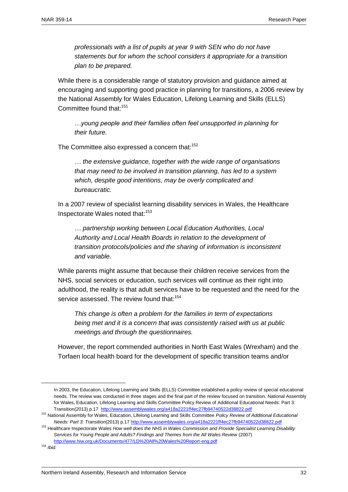*professionals with a list of pupils at year 9 with SEN who do not have statements but for whom the school considers it appropriate for a transition plan to be prepared.*

While there is a considerable range of statutory provision and guidance aimed at encouraging and supporting good practice in planning for transitions, a 2006 review by the National Assembly for Wales Education, Lifelong Learning and Skills (ELLS) Committee found that:<sup>151</sup>

*…young people and their families often feel unsupported in planning for their future.* 

The Committee also expressed a concern that:<sup>152</sup>

*… the extensive guidance, together with the wide range of organisations that may need to be involved in transition planning, has led to a system which, despite good intentions, may be overly complicated and bureaucratic.* 

In a 2007 review of specialist learning disability services in Wales, the Healthcare Inspectorate Wales noted that:<sup>153</sup>

*… partnership working between Local Education Authorities, Local Authority and Local Health Boards in relation to the development of transition protocols/policies and the sharing of information is inconsistent and variable.*

While parents might assume that because their children receive services from the NHS, social services or education, such services will continue as their right into adulthood, the reality is that adult services have to be requested and the need for the service assessed. The review found that:<sup>154</sup>

*This change is often a problem for the families in term of expectations being met and it is a concern that was consistently raised with us at public meetings and through the questionnaires.*

However, the report commended authorities in North East Wales (Wrexham) and the Torfaen local health board for the development of specific transition teams and/or

In 2003, the Education, Lifelong Learning and Skills (ELLS) Committee established a policy review of special educational needs. The review was conducted in three stages and the final part of the review focused on transition. National Assembly for Wales, Education, Lifelong Learning and Skills Committee Policy Review of Additional Educational Needs: Part 3: Transition(2013) p.17<http://www.assemblywales.org/a418a2221ff4ec27fb94740522d38822.pdf>

<sup>152</sup> National Assembly for Wales, Education, Lifelong Learning and Skills Committee *Policy Review of Additional Educational Needs: Part 3: Transition*(2013) p.17<http://www.assemblywales.org/a418a2221ff4ec27fb94740522d38822.pdf>

<sup>153</sup> Healthcare Inspectorate Wales *How well does the NHS in Wales Commission and Provide Specialist Learning Disability Services for Young People and Adults? Findings and Themes from the All Wales Review* (2007) <http://www.hiw.org.uk/Documents/477/LD%20All%20Wales%20Report-eng.pdf>

<sup>154</sup> *Ibid.*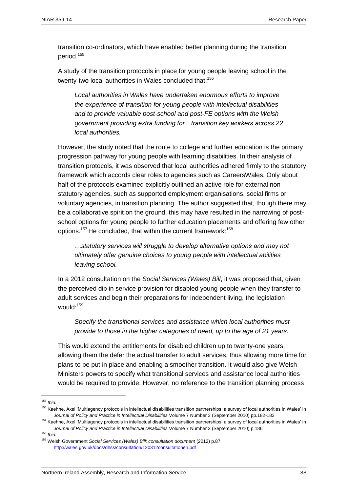transition co-ordinators, which have enabled better planning during the transition period.<sup>155</sup>

A study of the transition protocols in place for young people leaving school in the twenty-two local authorities in Wales concluded that:<sup>156</sup>

*Local authorities in Wales have undertaken enormous efforts to improve the experience of transition for young people with intellectual disabilities and to provide valuable post-school and post-FE options with the Welsh government providing extra funding for…transition key workers across 22 local authorities.*

However, the study noted that the route to college and further education is the primary progression pathway for young people with learning disabilities. In their analysis of transition protocols, it was observed that local authorities adhered firmly to the statutory framework which accords clear roles to agencies such as CareersWales. Only about half of the protocols examined explicitly outlined an active role for external nonstatutory agencies, such as supported employment organisations, social firms or voluntary agencies, in transition planning. The author suggested that, though there may be a collaborative spirit on the ground, this may have resulted in the narrowing of postschool options for young people to further education placements and offering few other options.<sup>157</sup> He concluded, that within the current framework:<sup>158</sup>

*…statutory services will struggle to develop alternative options and may not ultimately offer genuine choices to young people with intellectual abilities leaving school.*

In a 2012 consultation on the *Social Services (Wales) Bill*, it was proposed that, given the perceived dip in service provision for disabled young people when they transfer to adult services and begin their preparations for independent living, the legislation would:<sup>159</sup>

*Specify the transitional services and assistance which local authorities must provide to those in the higher categories of need, up to the age of 21 years.*

This would extend the entitlements for disabled children up to twenty-one years, allowing them the defer the actual transfer to adult services, thus allowing more time for plans to be put in place and enabling a smoother transition. It would also give Welsh Ministers powers to specify what transitional services and assistance local authorities would be required to provide. However, no reference to the transition planning process

 $\overline{a}$ 

<sup>158</sup> *Ibid.*

<sup>155</sup> *Ibid.*

<sup>&</sup>lt;sup>156</sup> Kaehne, Axel 'Multiagency protocols in intellectual disabilities transition partnerships: a survey of local authorities in Wales' in *Journal of Policy and Practice in Intellectual Disabilities* Volume 7 Number 3 (September 2010) pp.182-183

<sup>&</sup>lt;sup>157</sup> Kaehne, Axel 'Multiagency protocols in intellectual disabilities transition partnerships: a survey of local authorities in Wales' in *Journal of Policy and Practice in Intellectual Disabilities* Volume 7 Number 3 (September 2010) p.186

<sup>159</sup> Welsh Government *Social Services (Wales) Bill: consultation document* (2012) p.87 <http://wales.gov.uk/docs/dhss/consultation/120312consultationen.pdf>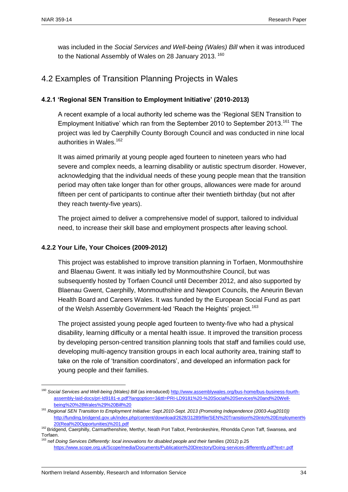was included in the *Social Services and Well-being (Wales) Bill* when it was introduced to the National Assembly of Wales on 28 January 2013. <sup>160</sup>

## <span id="page-35-0"></span>4.2 Examples of Transition Planning Projects in Wales

#### **4.2.1 'Regional SEN Transition to Employment Initiative' (2010-2013)**

A recent example of a local authority led scheme was the 'Regional SEN Transition to Employment Initiative' which ran from the September 2010 to September 2013.<sup>161</sup> The project was led by Caerphilly County Borough Council and was conducted in nine local authorities in Wales.<sup>162</sup>

It was aimed primarily at young people aged fourteen to nineteen years who had severe and complex needs, a learning disability or autistic spectrum disorder. However, acknowledging that the individual needs of these young people mean that the transition period may often take longer than for other groups, allowances were made for around fifteen per cent of participants to continue after their twentieth birthday (but not after they reach twenty-five years).

The project aimed to deliver a comprehensive model of support, tailored to individual need, to increase their skill base and employment prospects after leaving school.

#### **4.2.2 Your Life, Your Choices (2009-2012)**

This project was established to improve transition planning in Torfaen, Monmouthshire and Blaenau Gwent. It was initially led by Monmouthshire Council, but was subsequently hosted by Torfaen Council until December 2012, and also supported by Blaenau Gwent, Caerphilly, Monmouthshire and Newport Councils, the Aneurin Bevan Health Board and Careers Wales. It was funded by the European Social Fund as part of the Welsh Assembly Government-led 'Reach the Heights' project.<sup>163</sup>

The project assisted young people aged fourteen to twenty-five who had a physical disability, learning difficulty or a mental health issue. It improved the transition process by developing person-centred transition planning tools that staff and families could use, developing multi-agency transition groups in each local authority area, training staff to take on the role of 'transition coordinators', and developed an information pack for young people and their families.

 $\overline{a}$ <sup>160</sup> Social Services and Well-being (Wales) Bill (as introduced[\) http://www.assemblywales.org/bus-home/bus-business-fourth](http://www.assemblywales.org/bus-home/bus-business-fourth-assembly-laid-docs/pri-ld9181-e.pdf?langoption=3&ttl=PRI-LD9181%20-%20Social%20Services%20and%20Well-being%20%28Wales%29%20Bill%20)[assembly-laid-docs/pri-ld9181-e.pdf?langoption=3&ttl=PRI-LD9181%20-%20Social%20Services%20and%20Well](http://www.assemblywales.org/bus-home/bus-business-fourth-assembly-laid-docs/pri-ld9181-e.pdf?langoption=3&ttl=PRI-LD9181%20-%20Social%20Services%20and%20Well-being%20%28Wales%29%20Bill%20)[being%20%28Wales%29%20Bill%20](http://www.assemblywales.org/bus-home/bus-business-fourth-assembly-laid-docs/pri-ld9181-e.pdf?langoption=3&ttl=PRI-LD9181%20-%20Social%20Services%20and%20Well-being%20%28Wales%29%20Bill%20)

<sup>161</sup> *Regional SEN Transition to Employment Initiative: Sept.2010-Sept. 2013 (Promoting Independence (2003-Aug2010))* [http://funding.bridgend.gov.uk/index.php/content/download/2628/31289/file/SEN%20Transition%20into%20Employment%](http://funding.bridgend.gov.uk/index.php/content/download/2628/31289/file/SEN%20Transition%20into%20Employment%20(Real%20Opportunities)%201.pdf) [20\(Real%20Opportunities\)%201.pdf](http://funding.bridgend.gov.uk/index.php/content/download/2628/31289/file/SEN%20Transition%20into%20Employment%20(Real%20Opportunities)%201.pdf)

<sup>162</sup> Bridgend, Caerphilly, Carmarthenshire, Merthyr, Neath Port Talbot, Pembrokeshire, Rhondda Cynon Taff, Swansea, and Torfaen. <sup>163</sup> nef *Doing Services Differently: local innovations for disabled people and their families (2012) p.25* 

<https://www.scope.org.uk/Scope/media/Documents/Publication%20Directory/Doing-services-differently.pdf?ext=.pdf>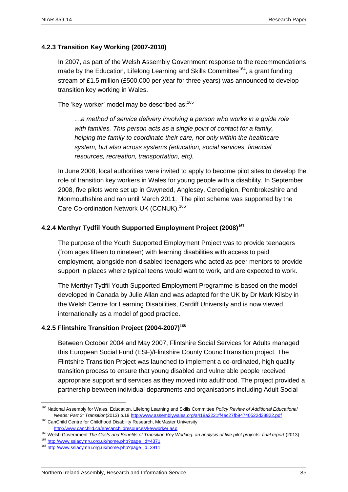#### **4.2.3 Transition Key Working (2007-2010)**

In 2007, as part of the Welsh Assembly Government response to the recommendations made by the Education, Lifelong Learning and Skills Committee<sup>164</sup>, a grant funding stream of £1.5 million (£500,000 per year for three years) was announced to develop transition key working in Wales.

The 'key worker' model may be described as: $165$ 

*…a method of service delivery involving a person who works in a guide role with families. This person acts as a single point of contact for a family, helping the family to coordinate their care, not only within the healthcare system, but also across systems (education, social services, financial resources, recreation, transportation, etc).* 

In June 2008, local authorities were invited to apply to become pilot sites to develop the role of transition key workers in Wales for young people with a disability. In September 2008, five pilots were set up in Gwynedd, Anglesey, Ceredigion, Pembrokeshire and Monmouthshire and ran until March 2011. The pilot scheme was supported by the Care Co-ordination Network UK (CCNUK).<sup>166</sup>

#### **4.2.4 Merthyr Tydfil Youth Supported Employment Project (2008)<sup>167</sup>**

The purpose of the Youth Supported Employment Project was to provide teenagers (from ages fifteen to nineteen) with learning disabilities with access to paid employment, alongside non-disabled teenagers who acted as peer mentors to provide support in places where typical teens would want to work, and are expected to work.

The Merthyr Tydfil Youth Supported Employment Programme is based on the model developed in Canada by Julie Allan and was adapted for the UK by Dr Mark Kilsby in the Welsh Centre for Learning Disabilities, Cardiff University and is now viewed internationally as a model of good practice.

#### **4.2.5 Flintshire Transition Project (2004-2007)<sup>168</sup>**

Between October 2004 and May 2007, Flintshire Social Services for Adults managed this European Social Fund (ESF)/Flintshire County Council transition project. The Flintshire Transition Project was launched to implement a co-ordinated, high quality transition process to ensure that young disabled and vulnerable people received appropriate support and services as they moved into adulthood. The project provided a partnership between individual departments and organisations including Adult Social

<sup>164</sup> National Assembly for Wales, Education, Lifelong Learning and Skills Committee *Policy Review of Additional Educational Needs: Part 3: Transition*(2013) p.19<http://www.assemblywales.org/a418a2221ff4ec27fb94740522d38822.pdf>

<sup>&</sup>lt;sup>165</sup> CanChild Centre for Childhood Disability Research, McMaster University <http://www.canchild.ca/en/canchildresources/keyworker.asp>

<sup>&</sup>lt;sup>166</sup> Welsh Government *The Costs and Benefits of Transition Key Working: an analysis of five pilot projects: final report (2013)* 

<sup>167</sup> [http://www.ssiacymru.org.uk/home.php?page\\_id=4371](http://www.ssiacymru.org.uk/home.php?page_id=4371)

<sup>168</sup> [http://www.ssiacymru.org.uk/home.php?page\\_id=3911](http://www.ssiacymru.org.uk/home.php?page_id=3911)